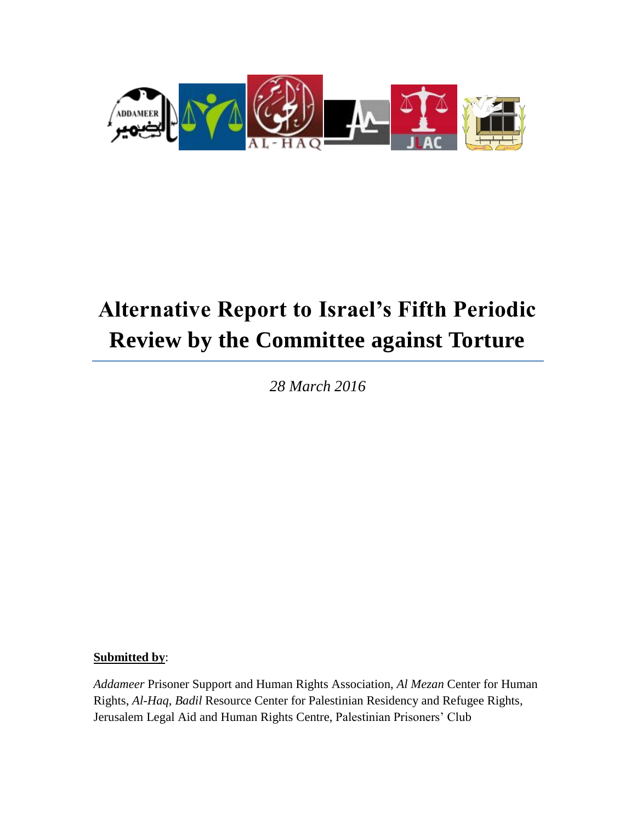

# **Alternative Report to Israel's Fifth Periodic Review by the Committee against Torture**

*28 March 2016*

# **Submitted by**:

*Addameer* Prisoner Support and Human Rights Association, *Al Mezan* Center for Human Rights, *Al-Haq*, *Badil* Resource Center for Palestinian Residency and Refugee Rights, Jerusalem Legal Aid and Human Rights Centre, Palestinian Prisoners' Club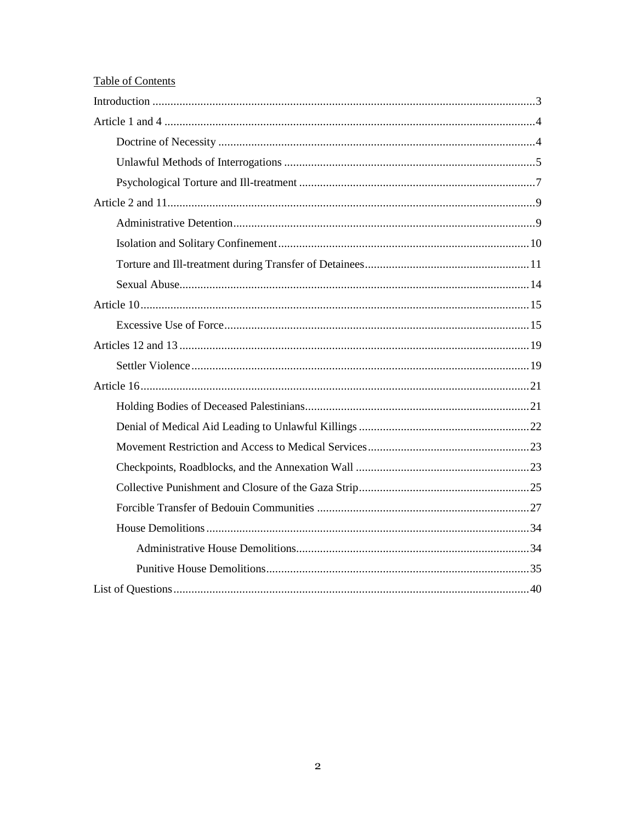|--|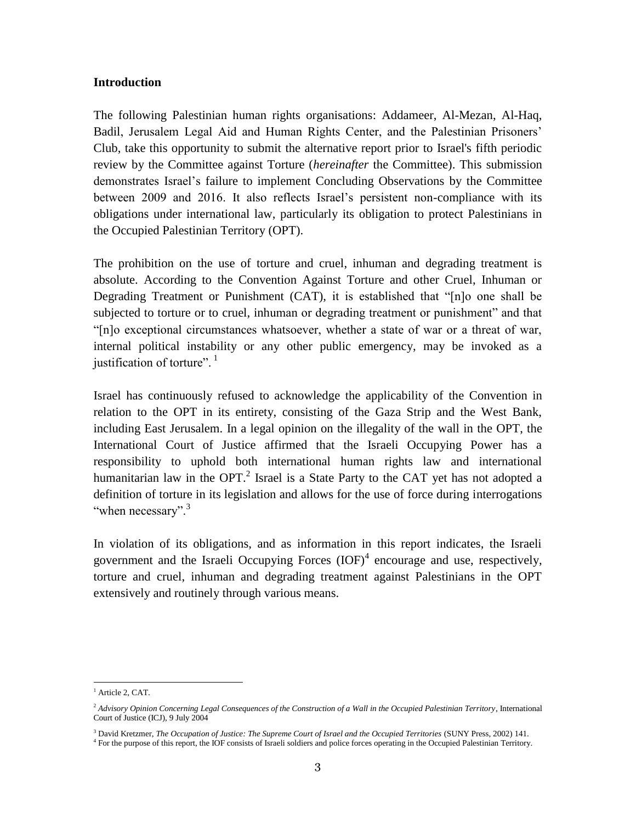#### <span id="page-2-0"></span>**Introduction**

The following Palestinian human rights organisations: Addameer, Al-Mezan, Al-Haq, Badil, Jerusalem Legal Aid and Human Rights Center, and the Palestinian Prisoners' Club, take this opportunity to submit the alternative report prior to Israel's fifth periodic review by the Committee against Torture (*hereinafter* the Committee). This submission demonstrates Israel's failure to implement Concluding Observations by the Committee between 2009 and 2016. It also reflects Israel's persistent non-compliance with its obligations under international law, particularly its obligation to protect Palestinians in the Occupied Palestinian Territory (OPT).

The prohibition on the use of torture and cruel, inhuman and degrading treatment is absolute. According to the Convention Against Torture and other Cruel, Inhuman or Degrading Treatment or Punishment (CAT), it is established that "[n]o one shall be subjected to torture or to cruel, inhuman or degrading treatment or punishment" and that "[n]o exceptional circumstances whatsoever, whether a state of war or a threat of war, internal political instability or any other public emergency, may be invoked as a justification of torture". $1$ 

Israel has continuously refused to acknowledge the applicability of the Convention in relation to the OPT in its entirety, consisting of the Gaza Strip and the West Bank, including East Jerusalem. In a legal opinion on the illegality of the wall in the OPT, the International Court of Justice affirmed that the Israeli Occupying Power has a responsibility to uphold both international human rights law and international humanitarian law in the OPT.<sup>2</sup> Israel is a State Party to the CAT yet has not adopted a definition of torture in its legislation and allows for the use of force during interrogations "when necessary".<sup>3</sup>

In violation of its obligations, and as information in this report indicates, the Israeli government and the Israeli Occupying Forces  ${(IOF)}^4$  encourage and use, respectively, torture and cruel, inhuman and degrading treatment against Palestinians in the OPT extensively and routinely through various means.

 $\overline{\phantom{a}}$ <sup>1</sup> Article 2, CAT.

<sup>&</sup>lt;sup>2</sup> Advisory Opinion Concerning Legal Consequences of the Construction of a Wall in the Occupied Palestinian Territory, International Court of Justice (ICJ), 9 July 2004

<sup>&</sup>lt;sup>3</sup> David Kretzmer, *The Occupation of Justice: The Supreme Court of Israel and the Occupied Territories (SUNY Press, 2002) 141.* 

<sup>4</sup> For the purpose of this report, the IOF consists of Israeli soldiers and police forces operating in the Occupied Palestinian Territory.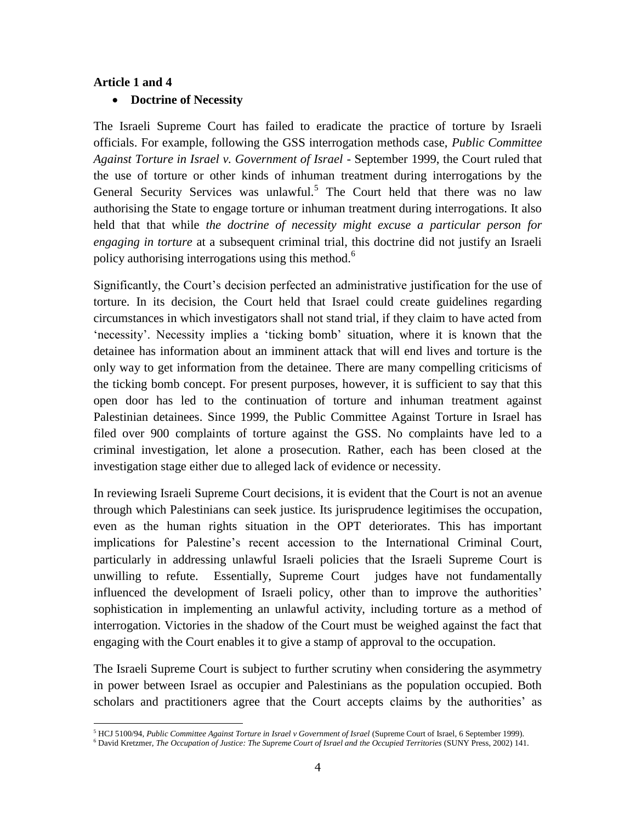#### <span id="page-3-1"></span><span id="page-3-0"></span>**Article 1 and 4**

#### **Doctrine of Necessity**

The Israeli Supreme Court has failed to eradicate the practice of torture by Israeli officials. For example, following the GSS interrogation methods case, *Public Committee Against Torture in Israel v. Government of Israel* - September 1999, the Court ruled that the use of torture or other kinds of inhuman treatment during interrogations by the General Security Services was unlawful.<sup>5</sup> The Court held that there was no law authorising the State to engage torture or inhuman treatment during interrogations. It also held that that while *the doctrine of necessity might excuse a particular person for engaging in torture* at a subsequent criminal trial, this doctrine did not justify an Israeli policy authorising interrogations using this method.<sup>6</sup>

Significantly, the Court's decision perfected an administrative justification for the use of torture. In its decision, the Court held that Israel could create guidelines regarding circumstances in which investigators shall not stand trial, if they claim to have acted from 'necessity'. Necessity implies a 'ticking bomb' situation, where it is known that the detainee has information about an imminent attack that will end lives and torture is the only way to get information from the detainee. There are many compelling criticisms of the ticking bomb concept. For present purposes, however, it is sufficient to say that this open door has led to the continuation of torture and inhuman treatment against Palestinian detainees. Since 1999, the Public Committee Against Torture in Israel has filed over 900 complaints of torture against the GSS. No complaints have led to a criminal investigation, let alone a prosecution. Rather, each has been closed at the investigation stage either due to alleged lack of evidence or necessity.

In reviewing Israeli Supreme Court decisions, it is evident that the Court is not an avenue through which Palestinians can seek justice. Its jurisprudence legitimises the occupation, even as the human rights situation in the OPT deteriorates. This has important implications for Palestine's recent accession to the International Criminal Court, particularly in addressing unlawful Israeli policies that the Israeli Supreme Court is unwilling to refute. Essentially, Supreme Court judges have not fundamentally influenced the development of Israeli policy, other than to improve the authorities' sophistication in implementing an unlawful activity, including torture as a method of interrogation. Victories in the shadow of the Court must be weighed against the fact that engaging with the Court enables it to give a stamp of approval to the occupation.

The Israeli Supreme Court is subject to further scrutiny when considering the asymmetry in power between Israel as occupier and Palestinians as the population occupied. Both scholars and practitioners agree that the Court accepts claims by the authorities' as

l <sup>5</sup> HCJ 5100/94, *Public Committee Against Torture in Israel v Government of Israel* (Supreme Court of Israel, 6 September 1999).

<sup>6</sup> David Kretzmer, *The Occupation of Justice: The Supreme Court of Israel and the Occupied Territories* (SUNY Press, 2002) 141.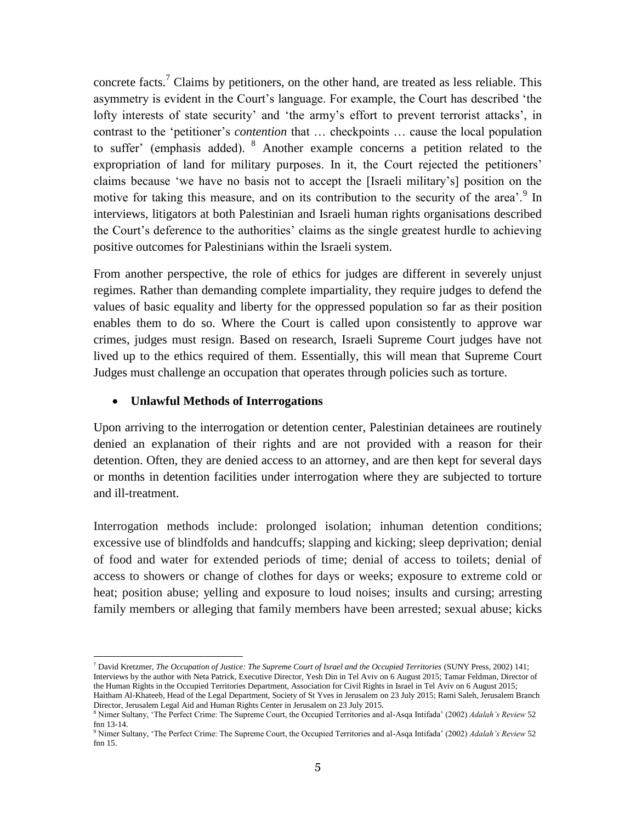concrete facts.<sup>7</sup> Claims by petitioners, on the other hand, are treated as less reliable. This asymmetry is evident in the Court's language. For example, the Court has described 'the lofty interests of state security' and 'the army's effort to prevent terrorist attacks', in contrast to the 'petitioner's *contention* that … checkpoints … cause the local population to suffer' (emphasis added). <sup>8</sup> Another example concerns a petition related to the expropriation of land for military purposes. In it, the Court rejected the petitioners' claims because 'we have no basis not to accept the [Israeli military's] position on the motive for taking this measure, and on its contribution to the security of the area'.<sup>9</sup> In interviews, litigators at both Palestinian and Israeli human rights organisations described the Court's deference to the authorities' claims as the single greatest hurdle to achieving positive outcomes for Palestinians within the Israeli system.

From another perspective, the role of ethics for judges are different in severely unjust regimes. Rather than demanding complete impartiality, they require judges to defend the values of basic equality and liberty for the oppressed population so far as their position enables them to do so. Where the Court is called upon consistently to approve war crimes, judges must resign. Based on research, Israeli Supreme Court judges have not lived up to the ethics required of them. Essentially, this will mean that Supreme Court Judges must challenge an occupation that operates through policies such as torture.

### <span id="page-4-0"></span>**Unlawful Methods of Interrogations**

Upon arriving to the interrogation or detention center, Palestinian detainees are routinely denied an explanation of their rights and are not provided with a reason for their detention. Often, they are denied access to an attorney, and are then kept for several days or months in detention facilities under interrogation where they are subjected to torture and ill-treatment.

Interrogation methods include: prolonged isolation; inhuman detention conditions; excessive use of blindfolds and handcuffs; slapping and kicking; sleep deprivation; denial of food and water for extended periods of time; denial of access to toilets; denial of access to showers or change of clothes for days or weeks; exposure to extreme cold or heat; position abuse; yelling and exposure to loud noises; insults and cursing; arresting family members or alleging that family members have been arrested; sexual abuse; kicks

 $\overline{\phantom{a}}$ <sup>7</sup> David Kretzmer, *The Occupation of Justice: The Supreme Court of Israel and the Occupied Territories* (SUNY Press, 2002) 141; Interviews by the author with Neta Patrick, Executive Director, Yesh Din in Tel Aviv on 6 August 2015; Tamar Feldman, Director of the Human Rights in the Occupied Territories Department, Association for Civil Rights in Israel in Tel Aviv on 6 August 2015; Haitham Al-Khateeb, Head of the Legal Department, Society of St Yves in Jerusalem on 23 July 2015; Rami Saleh, Jerusalem Branch Director, Jerusalem Legal Aid and Human Rights Center in Jerusalem on 23 July 2015.

<sup>8</sup> Nimer Sultany, 'The Perfect Crime: The Supreme Court, the Occupied Territories and al-Asqa Intifada' (2002) *Adalah's Review* 52 fnn 13-14.

<sup>9</sup> Nimer Sultany, 'The Perfect Crime: The Supreme Court, the Occupied Territories and al-Asqa Intifada' (2002) *Adalah's Review* 52 fnn 15.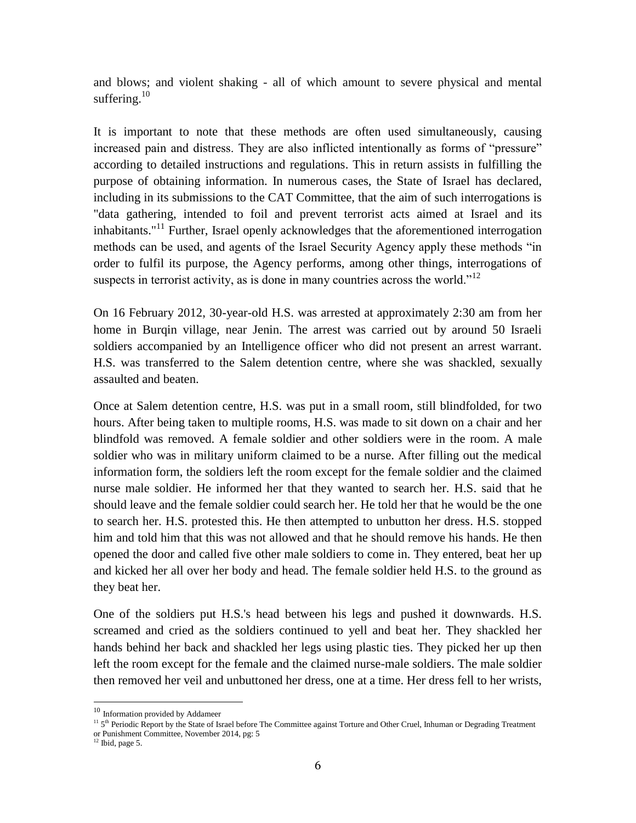and blows; and violent shaking - all of which amount to severe physical and mental suffering. $10$ 

It is important to note that these methods are often used simultaneously, causing increased pain and distress. They are also inflicted intentionally as forms of "pressure" according to detailed instructions and regulations. This in return assists in fulfilling the purpose of obtaining information. In numerous cases, the State of Israel has declared, including in its submissions to the CAT Committee, that the aim of such interrogations is "data gathering, intended to foil and prevent terrorist acts aimed at Israel and its inhabitants."<sup>11</sup> Further, Israel openly acknowledges that the aforementioned interrogation methods can be used, and agents of the Israel Security Agency apply these methods "in order to fulfil its purpose, the Agency performs, among other things, interrogations of suspects in terrorist activity, as is done in many countries across the world."<sup>12</sup>

On 16 February 2012, 30-year-old H.S. was arrested at approximately 2:30 am from her home in Burqin village, near Jenin. The arrest was carried out by around 50 Israeli soldiers accompanied by an Intelligence officer who did not present an arrest warrant. H.S. was transferred to the Salem detention centre, where she was shackled, sexually assaulted and beaten.

Once at Salem detention centre, H.S. was put in a small room, still blindfolded, for two hours. After being taken to multiple rooms, H.S. was made to sit down on a chair and her blindfold was removed. A female soldier and other soldiers were in the room. A male soldier who was in military uniform claimed to be a nurse. After filling out the medical information form, the soldiers left the room except for the female soldier and the claimed nurse male soldier. He informed her that they wanted to search her. H.S. said that he should leave and the female soldier could search her. He told her that he would be the one to search her. H.S. protested this. He then attempted to unbutton her dress. H.S. stopped him and told him that this was not allowed and that he should remove his hands. He then opened the door and called five other male soldiers to come in. They entered, beat her up and kicked her all over her body and head. The female soldier held H.S. to the ground as they beat her.

One of the soldiers put H.S.'s head between his legs and pushed it downwards. H.S. screamed and cried as the soldiers continued to yell and beat her. They shackled her hands behind her back and shackled her legs using plastic ties. They picked her up then left the room except for the female and the claimed nurse-male soldiers. The male soldier then removed her veil and unbuttoned her dress, one at a time. Her dress fell to her wrists,

 $\overline{\phantom{a}}$ 

<sup>&</sup>lt;sup>10</sup> Information provided by Addameer

<sup>&</sup>lt;sup>11</sup> 5<sup>th</sup> Periodic Report by the State of Israel before The Committee against Torture and Other Cruel, Inhuman or Degrading Treatment or Punishment Committee, November 2014, pg: 5

 $12$  Ibid, page 5.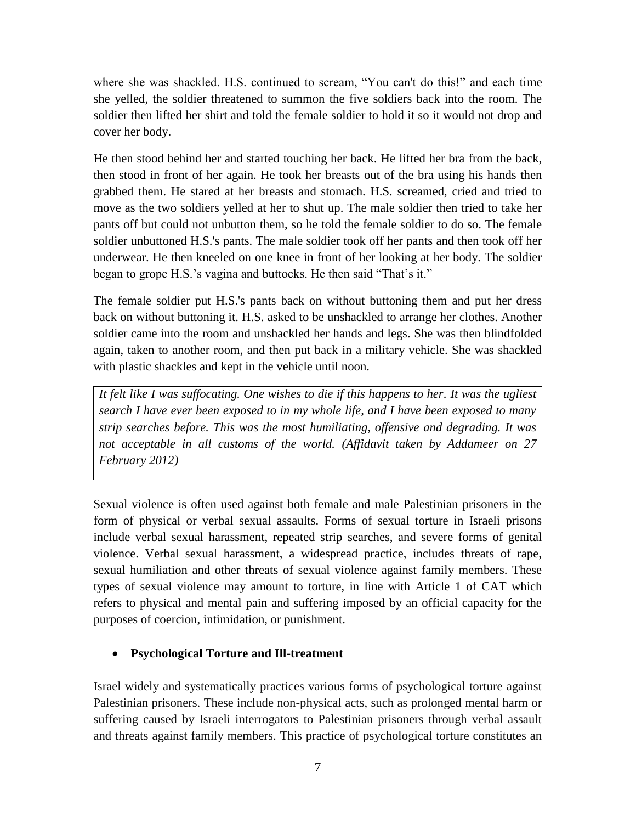where she was shackled. H.S. continued to scream, "You can't do this!" and each time she yelled, the soldier threatened to summon the five soldiers back into the room. The soldier then lifted her shirt and told the female soldier to hold it so it would not drop and cover her body.

He then stood behind her and started touching her back. He lifted her bra from the back, then stood in front of her again. He took her breasts out of the bra using his hands then grabbed them. He stared at her breasts and stomach. H.S. screamed, cried and tried to move as the two soldiers yelled at her to shut up. The male soldier then tried to take her pants off but could not unbutton them, so he told the female soldier to do so. The female soldier unbuttoned H.S.'s pants. The male soldier took off her pants and then took off her underwear. He then kneeled on one knee in front of her looking at her body. The soldier began to grope H.S.'s vagina and buttocks. He then said "That's it."

The female soldier put H.S.'s pants back on without buttoning them and put her dress back on without buttoning it. H.S. asked to be unshackled to arrange her clothes. Another soldier came into the room and unshackled her hands and legs. She was then blindfolded again, taken to another room, and then put back in a military vehicle. She was shackled with plastic shackles and kept in the vehicle until noon.

*It felt like I was suffocating. One wishes to die if this happens to her. It was the ugliest search I have ever been exposed to in my whole life, and I have been exposed to many strip searches before. This was the most humiliating, offensive and degrading. It was not acceptable in all customs of the world. (Affidavit taken by Addameer on 27 February 2012)*

Sexual violence is often used against both female and male Palestinian prisoners in the form of physical or verbal sexual assaults. Forms of sexual torture in Israeli prisons include verbal sexual harassment, repeated strip searches, and severe forms of genital violence. Verbal sexual harassment, a widespread practice, includes threats of rape, sexual humiliation and other threats of sexual violence against family members. These types of sexual violence may amount to torture, in line with Article 1 of CAT which refers to physical and mental pain and suffering imposed by an official capacity for the purposes of coercion, intimidation, or punishment.

# <span id="page-6-0"></span>**Psychological Torture and Ill-treatment**

Israel widely and systematically practices various forms of psychological torture against Palestinian prisoners. These include non-physical acts, such as prolonged mental harm or suffering caused by Israeli interrogators to Palestinian prisoners through verbal assault and threats against family members. This practice of psychological torture constitutes an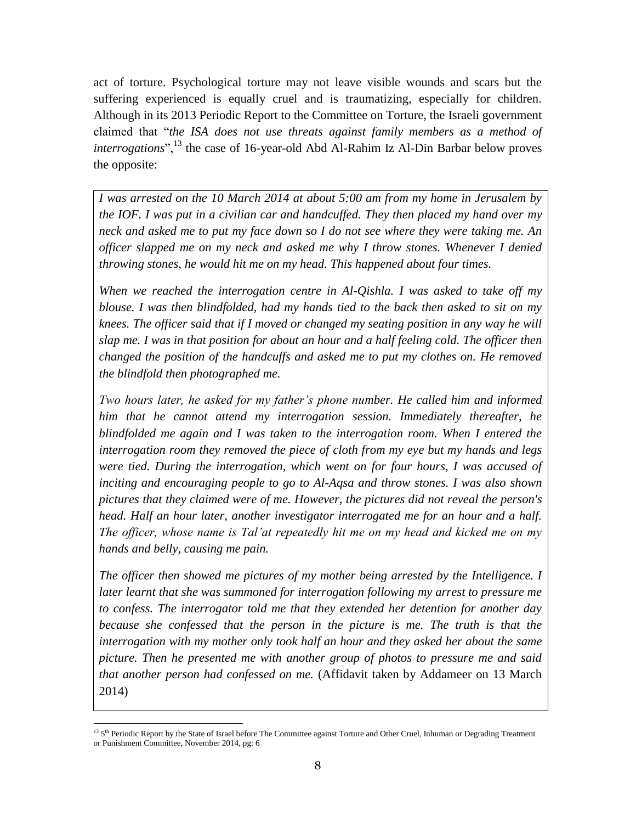act of torture. Psychological torture may not leave visible wounds and scars but the suffering experienced is equally cruel and is traumatizing, especially for children. Although in its 2013 Periodic Report to the Committee on Torture, the Israeli government claimed that "*the ISA does not use threats against family members as a method of interrogations*<sup>", 13</sup> the case of 16-year-old Abd Al-Rahim Iz Al-Din Barbar below proves the opposite:

*I was arrested on the 10 March 2014 at about 5:00 am from my home in Jerusalem by the IOF. I was put in a civilian car and handcuffed. They then placed my hand over my neck and asked me to put my face down so I do not see where they were taking me. An officer slapped me on my neck and asked me why I throw stones. Whenever I denied throwing stones, he would hit me on my head. This happened about four times.* 

*When we reached the interrogation centre in Al-Qishla. I was asked to take off my blouse. I was then blindfolded, had my hands tied to the back then asked to sit on my knees. The officer said that if I moved or changed my seating position in any way he will slap me. I was in that position for about an hour and a half feeling cold. The officer then changed the position of the handcuffs and asked me to put my clothes on. He removed the blindfold then photographed me.* 

*Two hours later, he asked for my father's phone number. He called him and informed him that he cannot attend my interrogation session. Immediately thereafter, he blindfolded me again and I was taken to the interrogation room. When I entered the interrogation room they removed the piece of cloth from my eye but my hands and legs were tied. During the interrogation, which went on for four hours, I was accused of inciting and encouraging people to go to Al-Aqsa and throw stones. I was also shown pictures that they claimed were of me. However, the pictures did not reveal the person's head. Half an hour later, another investigator interrogated me for an hour and a half. The officer, whose name is Tal'at repeatedly hit me on my head and kicked me on my hands and belly, causing me pain.* 

*The officer then showed me pictures of my mother being arrested by the Intelligence. I later learnt that she was summoned for interrogation following my arrest to pressure me to confess. The interrogator told me that they extended her detention for another day because she confessed that the person in the picture is me. The truth is that the interrogation with my mother only took half an hour and they asked her about the same picture. Then he presented me with another group of photos to pressure me and said that another person had confessed on me.* (Affidavit taken by Addameer on 13 March 2014)

l <sup>13</sup> 5<sup>th</sup> Periodic Report by the State of Israel before The Committee against Torture and Other Cruel, Inhuman or Degrading Treatment or Punishment Committee, November 2014, pg: 6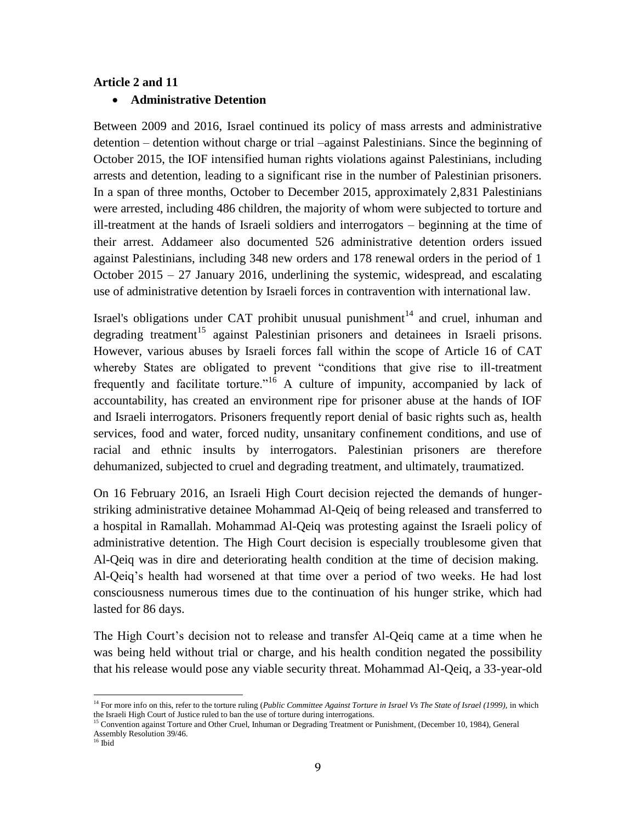#### <span id="page-8-1"></span><span id="page-8-0"></span>**Article 2 and 11**

### **Administrative Detention**

Between 2009 and 2016, Israel continued its policy of mass arrests and administrative detention – detention without charge or trial –against Palestinians. Since the beginning of October 2015, the IOF intensified human rights violations against Palestinians, including arrests and detention, leading to a significant rise in the number of Palestinian prisoners. In a span of three months, October to December 2015, approximately 2,831 Palestinians were arrested, including 486 children, the majority of whom were subjected to torture and ill-treatment at the hands of Israeli soldiers and interrogators – beginning at the time of their arrest. Addameer also documented 526 administrative detention orders issued against Palestinians, including 348 new orders and 178 renewal orders in the period of 1 October 2015 – 27 January 2016, underlining the systemic, widespread, and escalating use of administrative detention by Israeli forces in contravention with international law.

Israel's obligations under CAT prohibit unusual punishment $14$  and cruel, inhuman and degrading treatment<sup>15</sup> against Palestinian prisoners and detainees in Israeli prisons. However, various abuses by Israeli forces fall within the scope of Article 16 of CAT whereby States are obligated to prevent "conditions that give rise to ill-treatment frequently and facilitate torture."<sup>16</sup> A culture of impunity, accompanied by lack of accountability, has created an environment ripe for prisoner abuse at the hands of IOF and Israeli interrogators. Prisoners frequently report denial of basic rights such as, health services, food and water, forced nudity, unsanitary confinement conditions, and use of racial and ethnic insults by interrogators. Palestinian prisoners are therefore dehumanized, subjected to cruel and degrading treatment, and ultimately, traumatized.

On 16 February 2016, an Israeli High Court decision rejected the demands of hungerstriking administrative detainee Mohammad Al-Qeiq of being released and transferred to a hospital in Ramallah. Mohammad Al-Qeiq was protesting against the Israeli policy of administrative detention. The High Court decision is especially troublesome given that Al-Qeiq was in dire and deteriorating health condition at the time of decision making. Al-Qeiq's health had worsened at that time over a period of two weeks. He had lost consciousness numerous times due to the continuation of his hunger strike, which had lasted for 86 days.

The High Court's decision not to release and transfer Al-Qeiq came at a time when he was being held without trial or charge, and his health condition negated the possibility that his release would pose any viable security threat. Mohammad Al-Qeiq, a 33-year-old

 $\overline{\phantom{a}}$ <sup>14</sup> For more info on this, refer to the torture ruling (*Public Committee Against Torture in Israel Vs The State of Israel (1999)*, in which the Israeli High Court of Justice ruled to ban the use of torture during interrogations.

<sup>&</sup>lt;sup>15</sup> Convention against Torture and Other Cruel, Inhuman or Degrading Treatment or Punishment, (December 10, 1984), General Assembly Resolution 39/46.

<sup>16</sup> Ibid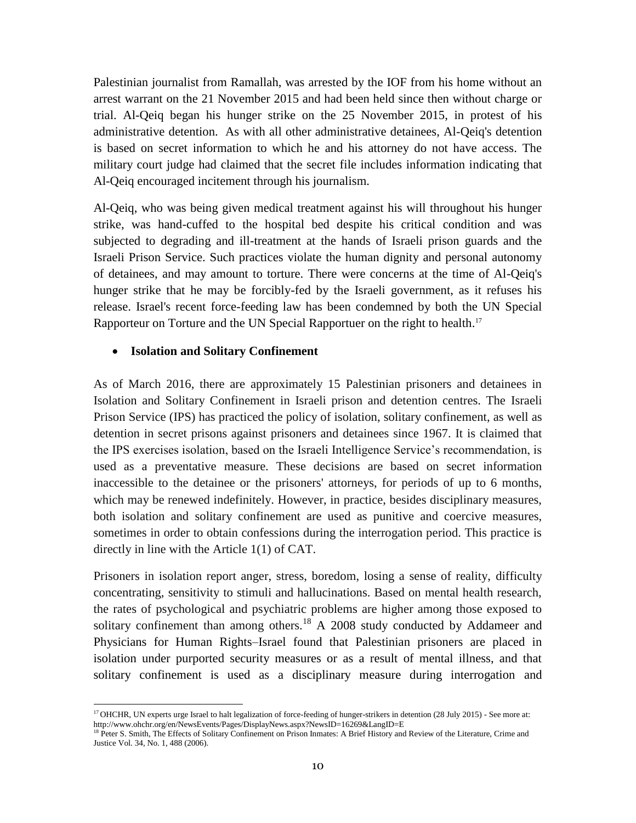Palestinian journalist from Ramallah, was arrested by the IOF from his home without an arrest warrant on the 21 November 2015 and had been held since then without charge or trial. Al-Qeiq began his hunger strike on the 25 November 2015, in protest of his administrative detention. As with all other administrative detainees, Al-Qeiq's detention is based on secret information to which he and his attorney do not have access. The military court judge had claimed that the secret file includes information indicating that Al-Qeiq encouraged incitement through his journalism.

Al-Qeiq, who was being given medical treatment against his will throughout his hunger strike, was hand-cuffed to the hospital bed despite his critical condition and was subjected to degrading and ill-treatment at the hands of Israeli prison guards and the Israeli Prison Service. Such practices violate the human dignity and personal autonomy of detainees, and may amount to torture. There were concerns at the time of Al-Qeiq's hunger strike that he may be forcibly-fed by the Israeli government, as it refuses his release. Israel's recent force-feeding law has been condemned by both the UN Special Rapporteur on Torture and the UN Special Rapportuer on the right to health.<sup>17</sup>

### <span id="page-9-0"></span>**Isolation and Solitary Confinement**

 $\overline{a}$ 

As of March 2016, there are approximately 15 Palestinian prisoners and detainees in Isolation and Solitary Confinement in Israeli prison and detention centres. The Israeli Prison Service (IPS) has practiced the policy of isolation, solitary confinement, as well as detention in secret prisons against prisoners and detainees since 1967. It is claimed that the IPS exercises isolation, based on the Israeli Intelligence Service's recommendation, is used as a preventative measure. These decisions are based on secret information inaccessible to the detainee or the prisoners' attorneys, for periods of up to 6 months, which may be renewed indefinitely. However, in practice, besides disciplinary measures, both isolation and solitary confinement are used as punitive and coercive measures, sometimes in order to obtain confessions during the interrogation period. This practice is directly in line with the Article 1(1) of CAT.

Prisoners in isolation report anger, stress, boredom, losing a sense of reality, difficulty concentrating, sensitivity to stimuli and hallucinations. Based on mental health research, the rates of psychological and psychiatric problems are higher among those exposed to solitary confinement than among others.<sup>18</sup> A 2008 study conducted by Addameer and Physicians for Human Rights–Israel found that Palestinian prisoners are placed in isolation under purported security measures or as a result of mental illness, and that solitary confinement is used as a disciplinary measure during interrogation and

<sup>&</sup>lt;sup>17</sup> OHCHR, UN experts urge Israel to halt legalization of force-feeding of hunger-strikers in detention  $(28 \text{ July } 2015)$  - See more at: <http://www.ohchr.org/en/NewsEvents/Pages/DisplayNews.aspx?NewsID=16269&LangID=E>

<sup>&</sup>lt;sup>18</sup> Peter S. Smith, The Effects of Solitary Confinement on Prison Inmates: A Brief History and Review of the Literature, Crime and Justice Vol. 34, No. 1, 488 (2006).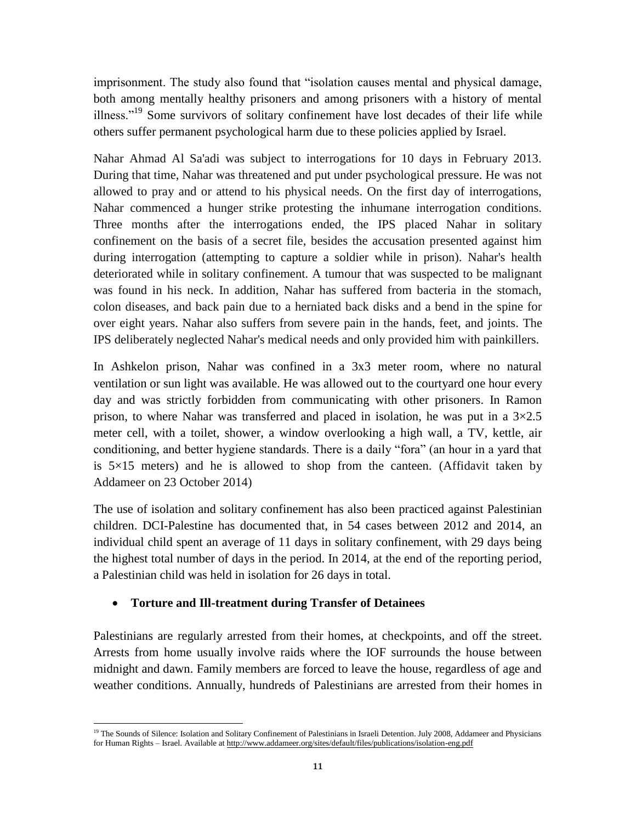imprisonment. The study also found that "isolation causes mental and physical damage, both among mentally healthy prisoners and among prisoners with a history of mental illness."<sup>19</sup> Some survivors of solitary confinement have lost decades of their life while others suffer permanent psychological harm due to these policies applied by Israel.

Nahar Ahmad Al Sa'adi was subject to interrogations for 10 days in February 2013. During that time, Nahar was threatened and put under psychological pressure. He was not allowed to pray and or attend to his physical needs. On the first day of interrogations, Nahar commenced a hunger strike protesting the inhumane interrogation conditions. Three months after the interrogations ended, the IPS placed Nahar in solitary confinement on the basis of a secret file, besides the accusation presented against him during interrogation (attempting to capture a soldier while in prison). Nahar's health deteriorated while in solitary confinement. A tumour that was suspected to be malignant was found in his neck. In addition, Nahar has suffered from bacteria in the stomach, colon diseases, and back pain due to a herniated back disks and a bend in the spine for over eight years. Nahar also suffers from severe pain in the hands, feet, and joints. The IPS deliberately neglected Nahar's medical needs and only provided him with painkillers.

In Ashkelon prison, Nahar was confined in a 3x3 meter room, where no natural ventilation or sun light was available. He was allowed out to the courtyard one hour every day and was strictly forbidden from communicating with other prisoners. In Ramon prison, to where Nahar was transferred and placed in isolation, he was put in a  $3\times2.5$ meter cell, with a toilet, shower, a window overlooking a high wall, a TV, kettle, air conditioning, and better hygiene standards. There is a daily "fora" (an hour in a yard that is  $5\times15$  meters) and he is allowed to shop from the canteen. (Affidavit taken by Addameer on 23 October 2014)

The use of isolation and solitary confinement has also been practiced against Palestinian children. DCI-Palestine has documented that, in 54 cases between 2012 and 2014, an individual child spent an average of 11 days in solitary confinement, with 29 days being the highest total number of days in the period. In 2014, at the end of the reporting period, a Palestinian child was held in isolation for 26 days in total.

# <span id="page-10-0"></span>**Torture and Ill-treatment during Transfer of Detainees**

Palestinians are regularly arrested from their homes, at checkpoints, and off the street. Arrests from home usually involve raids where the IOF surrounds the house between midnight and dawn. Family members are forced to leave the house, regardless of age and weather conditions. Annually, hundreds of Palestinians are arrested from their homes in

l <sup>19</sup> The Sounds of Silence: Isolation and Solitary Confinement of Palestinians in Israeli Detention. July 2008, Addameer and Physicians for Human Rights – Israel. Available a[t http://www.addameer.org/sites/default/files/publications/isolation-eng.pdf](http://www.addameer.org/sites/default/files/publications/isolation-eng.pdf)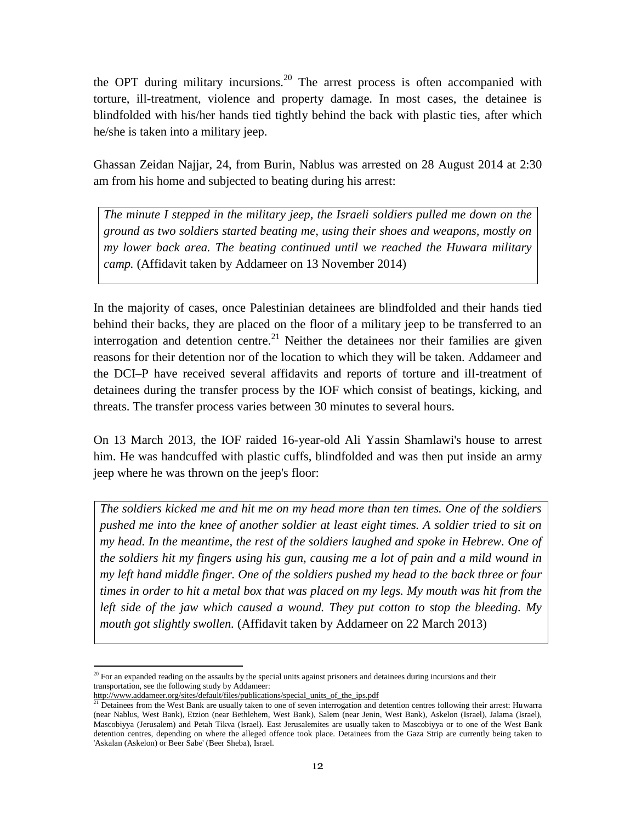the OPT during military incursions.<sup>20</sup> The arrest process is often accompanied with torture, ill-treatment, violence and property damage. In most cases, the detainee is blindfolded with his/her hands tied tightly behind the back with plastic ties, after which he/she is taken into a military jeep.

Ghassan Zeidan Najjar, 24, from Burin, Nablus was arrested on 28 August 2014 at 2:30 am from his home and subjected to beating during his arrest:

*The minute I stepped in the military jeep, the Israeli soldiers pulled me down on the ground as two soldiers started beating me, using their shoes and weapons, mostly on my lower back area. The beating continued until we reached the Huwara military camp.* (Affidavit taken by Addameer on 13 November 2014)

In the majority of cases, once Palestinian detainees are blindfolded and their hands tied behind their backs, they are placed on the floor of a military jeep to be transferred to an interrogation and detention centre.<sup>21</sup> Neither the detainees nor their families are given reasons for their detention nor of the location to which they will be taken. Addameer and the DCI–P have received several affidavits and reports of torture and ill-treatment of detainees during the transfer process by the IOF which consist of beatings, kicking, and threats. The transfer process varies between 30 minutes to several hours.

On 13 March 2013, the IOF raided 16-year-old Ali Yassin Shamlawi's house to arrest him. He was handcuffed with plastic cuffs, blindfolded and was then put inside an army jeep where he was thrown on the jeep's floor:

*The soldiers kicked me and hit me on my head more than ten times. One of the soldiers pushed me into the knee of another soldier at least eight times. A soldier tried to sit on my head. In the meantime, the rest of the soldiers laughed and spoke in Hebrew. One of the soldiers hit my fingers using his gun, causing me a lot of pain and a mild wound in my left hand middle finger. One of the soldiers pushed my head to the back three or four times in order to hit a metal box that was placed on my legs. My mouth was hit from the left side of the jaw which caused a wound. They put cotton to stop the bleeding. My mouth got slightly swollen.* (Affidavit taken by Addameer on 22 March 2013)

 $\overline{a}$  $20$  For an expanded reading on the assaults by the special units against prisoners and detainees during incursions and their transportation, see the following study by Addameer:

[http://www.addameer.org/sites/default/files/publications/special\\_units\\_of\\_the\\_ips.pdf](http://www.addameer.org/sites/default/files/publications/special_units_of_the_ips.pdf)

<sup>&</sup>lt;sup>21</sup> Detainees from the West Bank are usually taken to one of seven interrogation and detention centres following their arrest: Huwarra (near Nablus, West Bank), Etzion (near Bethlehem, West Bank), Salem (near Jenin, West Bank), Askelon (Israel), Jalama (Israel), Mascobiyya (Jerusalem) and Petah Tikva (Israel). East Jerusalemites are usually taken to Mascobiyya or to one of the West Bank detention centres, depending on where the alleged offence took place. Detainees from the Gaza Strip are currently being taken to 'Askalan (Askelon) or Beer Sabe' (Beer Sheba), Israel.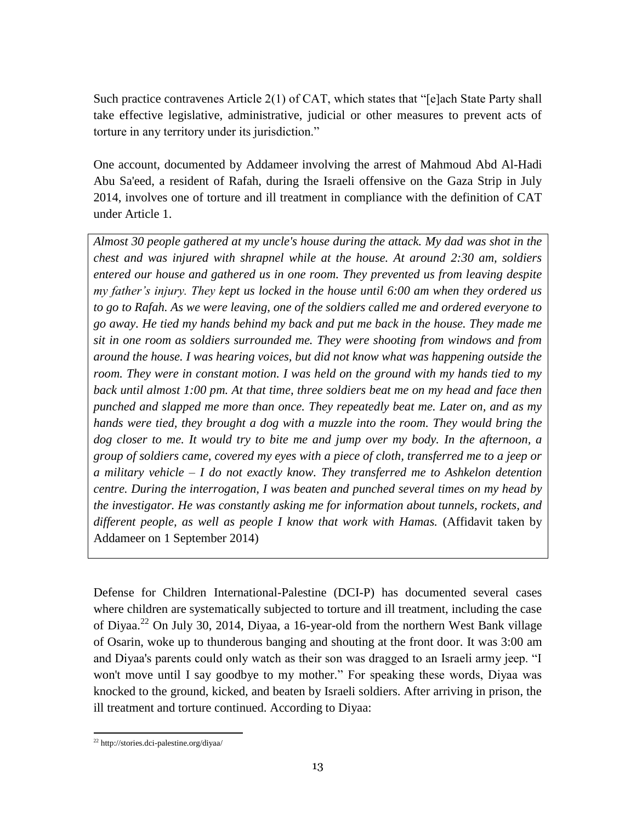Such practice contravenes Article 2(1) of CAT, which states that "[e]ach State Party shall take effective legislative, administrative, judicial or other measures to prevent acts of torture in any territory under its jurisdiction."

One account, documented by Addameer involving the arrest of Mahmoud Abd Al-Hadi Abu Sa'eed, a resident of Rafah, during the Israeli offensive on the Gaza Strip in July 2014, involves one of torture and ill treatment in compliance with the definition of CAT under Article 1.

*Almost 30 people gathered at my uncle's house during the attack. My dad was shot in the chest and was injured with shrapnel while at the house. At around 2:30 am, soldiers entered our house and gathered us in one room. They prevented us from leaving despite my father's injury. They kept us locked in the house until 6:00 am when they ordered us to go to Rafah. As we were leaving, one of the soldiers called me and ordered everyone to go away. He tied my hands behind my back and put me back in the house. They made me sit in one room as soldiers surrounded me. They were shooting from windows and from around the house. I was hearing voices, but did not know what was happening outside the room. They were in constant motion. I was held on the ground with my hands tied to my back until almost 1:00 pm. At that time, three soldiers beat me on my head and face then punched and slapped me more than once. They repeatedly beat me. Later on, and as my hands were tied, they brought a dog with a muzzle into the room. They would bring the dog closer to me. It would try to bite me and jump over my body. In the afternoon, a group of soldiers came, covered my eyes with a piece of cloth, transferred me to a jeep or a military vehicle – I do not exactly know. They transferred me to Ashkelon detention centre. During the interrogation, I was beaten and punched several times on my head by the investigator. He was constantly asking me for information about tunnels, rockets, and different people, as well as people I know that work with Hamas.* (Affidavit taken by Addameer on 1 September 2014)

Defense for Children International-Palestine (DCI-P) has documented several cases where children are systematically subjected to torture and ill treatment, including the case of Diyaa.<sup>22</sup> On July 30, 2014, Diyaa, a 16-year-old from the northern West Bank village of Osarin, woke up to thunderous banging and shouting at the front door. It was 3:00 am and Diyaa's parents could only watch as their son was dragged to an Israeli army jeep. "I won't move until I say goodbye to my mother." For speaking these words, Diyaa was knocked to the ground, kicked, and beaten by Israeli soldiers. After arriving in prison, the ill treatment and torture continued. According to Diyaa:

 $\overline{\phantom{a}}$ <sup>22</sup> http://stories.dci-palestine.org/diyaa/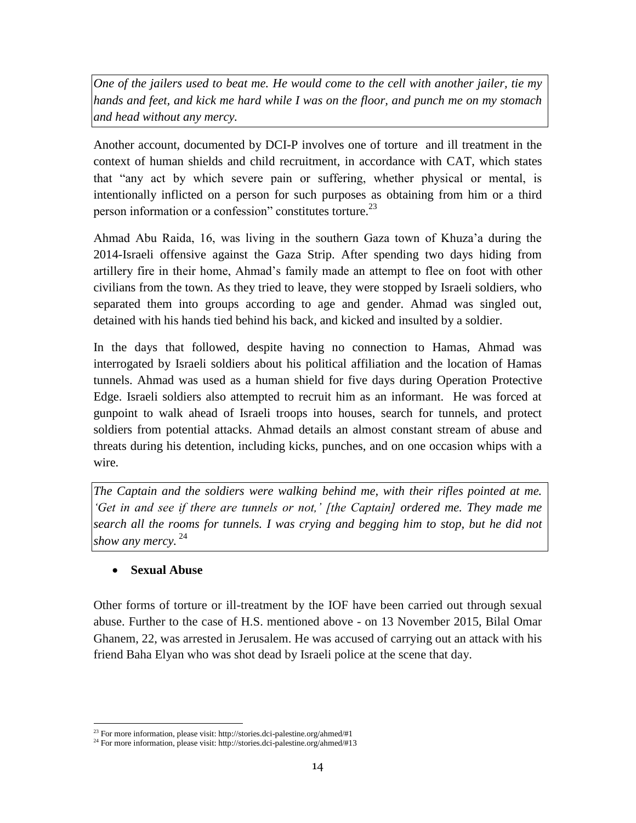*One of the jailers used to beat me. He would come to the cell with another jailer, tie my hands and feet, and kick me hard while I was on the floor, and punch me on my stomach and head without any mercy.*

Another account, documented by DCI-P involves one of torture and ill treatment in the context of human shields and child recruitment, in accordance with CAT, which states that "any act by which severe pain or suffering, whether physical or mental, is intentionally inflicted on a person for such purposes as obtaining from him or a third person information or a confession" constitutes torture.<sup>23</sup>

Ahmad Abu Raida, 16, was living in the southern Gaza town of Khuza'a during the 2014-Israeli offensive against the Gaza Strip. After spending two days hiding from artillery fire in their home, Ahmad's family made an attempt to flee on foot with other civilians from the town. As they tried to leave, they were stopped by Israeli soldiers, who separated them into groups according to age and gender. Ahmad was singled out, detained with his hands tied behind his back, and kicked and insulted by a soldier.

In the days that followed, despite having no connection to Hamas, Ahmad was interrogated by Israeli soldiers about his political affiliation and the location of Hamas tunnels. Ahmad was used as a human shield for five days during Operation Protective Edge. Israeli soldiers also attempted to recruit him as an informant. He was forced at gunpoint to walk ahead of Israeli troops into houses, search for tunnels, and protect soldiers from potential attacks. Ahmad details an almost constant stream of abuse and threats during his detention, including kicks, punches, and on one occasion whips with a wire.

*The Captain and the soldiers were walking behind me, with their rifles pointed at me. 'Get in and see if there are tunnels or not,' [the Captain] ordered me. They made me search all the rooms for tunnels. I was crying and begging him to stop, but he did not show any mercy.* 24

# <span id="page-13-0"></span>**Sexual Abuse**

l

Other forms of torture or ill-treatment by the IOF have been carried out through sexual abuse. Further to the case of H.S. mentioned above - on 13 November 2015, Bilal Omar Ghanem, 22, was arrested in Jerusalem. He was accused of carrying out an attack with his friend Baha Elyan who was shot dead by Israeli police at the scene that day.

<sup>23</sup> For more information, please visit: http://stories.dci-palestine.org/ahmed/#1

<sup>&</sup>lt;sup>24</sup> For more information, please visit: http://stories.dci-palestine.org/ahmed/#13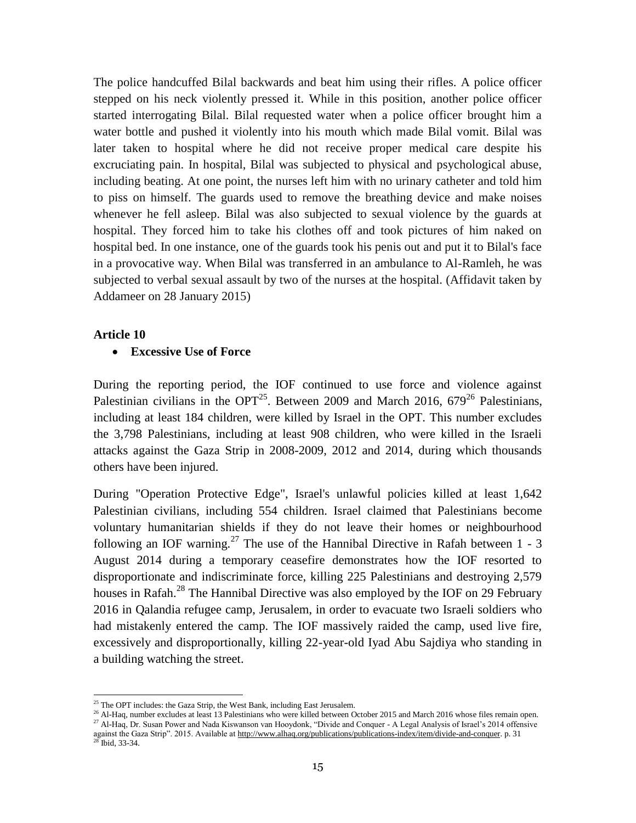The police handcuffed Bilal backwards and beat him using their rifles. A police officer stepped on his neck violently pressed it. While in this position, another police officer started interrogating Bilal. Bilal requested water when a police officer brought him a water bottle and pushed it violently into his mouth which made Bilal vomit. Bilal was later taken to hospital where he did not receive proper medical care despite his excruciating pain. In hospital, Bilal was subjected to physical and psychological abuse, including beating. At one point, the nurses left him with no urinary catheter and told him to piss on himself. The guards used to remove the breathing device and make noises whenever he fell asleep. Bilal was also subjected to sexual violence by the guards at hospital. They forced him to take his clothes off and took pictures of him naked on hospital bed. In one instance, one of the guards took his penis out and put it to Bilal's face in a provocative way. When Bilal was transferred in an ambulance to Al-Ramleh, he was subjected to verbal sexual assault by two of the nurses at the hospital. (Affidavit taken by Addameer on 28 January 2015)

#### <span id="page-14-1"></span><span id="page-14-0"></span>**Article 10**

#### **Excessive Use of Force**

During the reporting period, the IOF continued to use force and violence against Palestinian civilians in the OPT<sup>25</sup>. Between 2009 and March 2016,  $679^{26}$  Palestinians, including at least 184 children, were killed by Israel in the OPT. This number excludes the 3,798 Palestinians, including at least 908 children, who were killed in the Israeli attacks against the Gaza Strip in 2008-2009, 2012 and 2014, during which thousands others have been injured.

During "Operation Protective Edge", Israel's unlawful policies killed at least 1,642 Palestinian civilians, including 554 children. Israel claimed that Palestinians become voluntary humanitarian shields if they do not leave their homes or neighbourhood following an IOF warning.<sup>27</sup> The use of the Hannibal Directive in Rafah between 1 - 3 August 2014 during a temporary ceasefire demonstrates how the IOF resorted to disproportionate and indiscriminate force, killing 225 Palestinians and destroying 2,579 houses in Rafah.<sup>28</sup> The Hannibal Directive was also employed by the IOF on 29 February 2016 in Qalandia refugee camp, Jerusalem, in order to evacuate two Israeli soldiers who had mistakenly entered the camp. The IOF massively raided the camp, used live fire, excessively and disproportionally, killing 22-year-old Iyad Abu Sajdiya who standing in a building watching the street.

 $\overline{\phantom{a}}$ <sup>25</sup> The OPT includes: the Gaza Strip, the West Bank, including East Jerusalem.

<sup>&</sup>lt;sup>26</sup> Al-Haq, number excludes at least 13 Palestinians who were killed between October 2015 and March 2016 whose files remain open. <sup>27</sup> Al-Haq, Dr. Susan Power and Nada Kiswanson van Hooydonk, "Divide and Conquer - A Legal Analysis of Israel's 2014 offensive against the Gaza Strip". 2015. Available at [http://www.alhaq.org/publications/publications-index/item/divide-and-conquer.](http://www.alhaq.org/publications/publications-index/item/divide-and-conquer) p. 31  $^{28}$  Ibid, 33-34.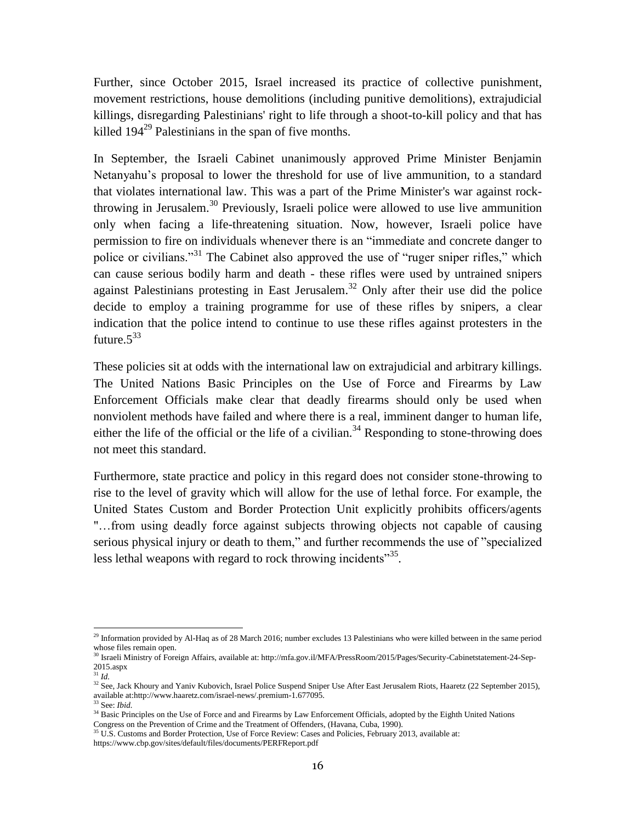Further, since October 2015, Israel increased its practice of collective punishment, movement restrictions, house demolitions (including punitive demolitions), extrajudicial killings, disregarding Palestinians' right to life through a shoot-to-kill policy and that has killed  $194^{29}$  Palestinians in the span of five months.

In September, the Israeli Cabinet unanimously approved Prime Minister Benjamin Netanyahu's proposal to lower the threshold for use of live ammunition, to a standard that violates international law. This was a part of the Prime Minister's war against rockthrowing in Jerusalem.<sup>30</sup> Previously, Israeli police were allowed to use live ammunition only when facing a life-threatening situation. Now, however, Israeli police have permission to fire on individuals whenever there is an "immediate and concrete danger to police or civilians."<sup>31</sup> The Cabinet also approved the use of "ruger sniper rifles," which can cause serious bodily harm and death - these rifles were used by untrained snipers against Palestinians protesting in East Jerusalem.<sup>32</sup> Only after their use did the police decide to employ a training programme for use of these rifles by snipers, a clear indication that the police intend to continue to use these rifles against protesters in the future. $5^{33}$ 

These policies sit at odds with the international law on extrajudicial and arbitrary killings. The United Nations Basic Principles on the Use of Force and Firearms by Law Enforcement Officials make clear that deadly firearms should only be used when nonviolent methods have failed and where there is a real, imminent danger to human life, either the life of the official or the life of a civilian.<sup>34</sup> Responding to stone-throwing does not meet this standard.

Furthermore, state practice and policy in this regard does not consider stone-throwing to rise to the level of gravity which will allow for the use of lethal force. For example, the United States Custom and Border Protection Unit explicitly prohibits officers/agents "…from using deadly force against subjects throwing objects not capable of causing serious physical injury or death to them," and further recommends the use of "specialized less lethal weapons with regard to rock throwing incidents $^{35}$ .

 $\overline{\phantom{a}}$ 

 $29$  Information provided by Al-Haq as of 28 March 2016; number excludes 13 Palestinians who were killed between in the same period whose files remain open.

<sup>30</sup> Israeli Ministry of Foreign Affairs, available at: http://mfa.gov.il/MFA/PressRoom/2015/Pages/Security-Cabinetstatement-24-Sep-2015.aspx

<sup>31</sup> *Id.*

<sup>&</sup>lt;sup>32</sup> See, Jack Khoury and Yaniv Kubovich, Israel Police Suspend Sniper Use After East Jerusalem Riots, Haaretz (22 September 2015), available at:http://www.haaretz.com/israel-news/.premium-1.677095. <sup>33</sup> See: *Ibid.*

<sup>&</sup>lt;sup>34</sup> Basic Principles on the Use of Force and and Firearms by Law Enforcement Officials, adopted by the Eighth United Nations Congress on the Prevention of Crime and the Treatment of Offenders, (Havana, Cuba, 1990).

<sup>&</sup>lt;sup>35</sup> U.S. Customs and Border Protection, Use of Force Review: Cases and Policies, February 2013, available at:

https://www.cbp.gov/sites/default/files/documents/PERFReport.pdf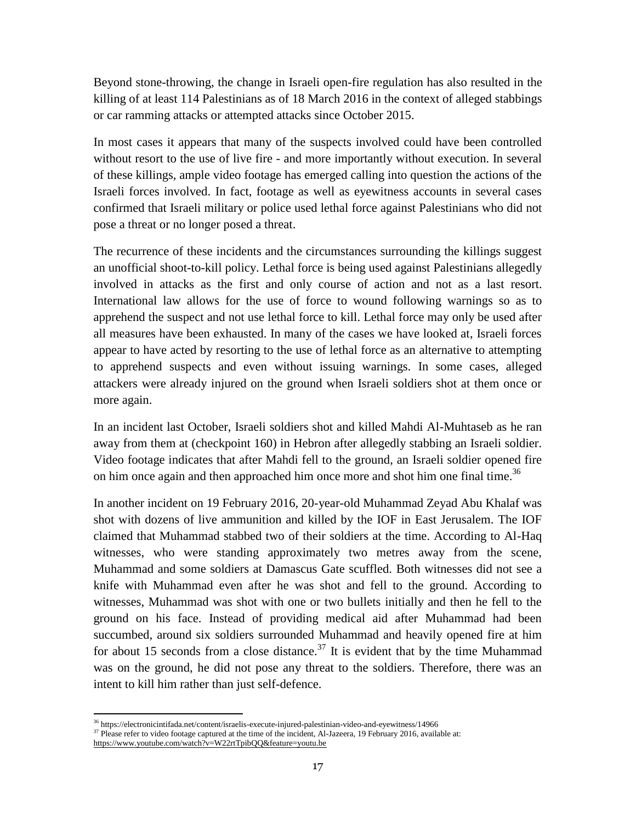Beyond stone-throwing, the change in Israeli open-fire regulation has also resulted in the killing of at least 114 Palestinians as of 18 March 2016 in the context of alleged stabbings or car ramming attacks or attempted attacks since October 2015.

In most cases it appears that many of the suspects involved could have been controlled without resort to the use of live fire - and more importantly without execution. In several of these killings, ample video footage has emerged calling into question the actions of the Israeli forces involved. In fact, footage as well as eyewitness accounts in several cases confirmed that Israeli military or police used lethal force against Palestinians who did not pose a threat or no longer posed a threat.

The recurrence of these incidents and the circumstances surrounding the killings suggest an unofficial shoot-to-kill policy. Lethal force is being used against Palestinians allegedly involved in attacks as the first and only course of action and not as a last resort. International law allows for the use of force to wound following warnings so as to apprehend the suspect and not use lethal force to kill. Lethal force may only be used after all measures have been exhausted. In many of the cases we have looked at, Israeli forces appear to have acted by resorting to the use of lethal force as an alternative to attempting to apprehend suspects and even without issuing warnings. In some cases, alleged attackers were already injured on the ground when Israeli soldiers shot at them once or more again.

In an incident last October, Israeli soldiers shot and killed Mahdi Al-Muhtaseb as he ran away from them at (checkpoint 160) in Hebron after allegedly stabbing an Israeli soldier. Video footage indicates that after Mahdi fell to the ground, an Israeli soldier opened fire on him once again and then approached him once more and shot him one final time.<sup>36</sup>

In another incident on 19 February 2016, 20-year-old Muhammad Zeyad Abu Khalaf was shot with dozens of live ammunition and killed by the IOF in East Jerusalem. The IOF claimed that Muhammad stabbed two of their soldiers at the time. According to Al-Haq witnesses, who were standing approximately two metres away from the scene, Muhammad and some soldiers at Damascus Gate scuffled. Both witnesses did not see a knife with Muhammad even after he was shot and fell to the ground. According to witnesses, Muhammad was shot with one or two bullets initially and then he fell to the ground on his face. Instead of providing medical aid after Muhammad had been succumbed, around six soldiers surrounded Muhammad and heavily opened fire at him for about 15 seconds from a close distance.<sup>37</sup> It is evident that by the time Muhammad was on the ground, he did not pose any threat to the soldiers. Therefore, there was an intent to kill him rather than just self-defence.

 $\overline{\phantom{a}}$ 

<sup>36</sup> https://electronicintifada.net/content/israelis-execute-injured-palestinian-video-and-eyewitness/14966

<sup>&</sup>lt;sup>37</sup> Please refer to video footage captured at the time of the incident, Al-Jazeera, 19 February 2016, available at:

<https://www.youtube.com/watch?v=W22rtTpibQQ&feature=youtu.be>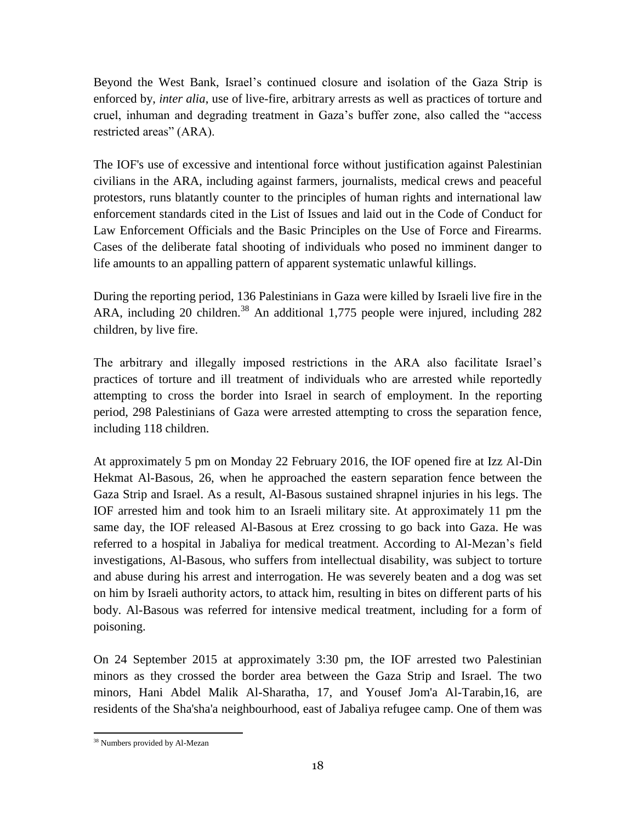Beyond the West Bank, Israel's continued closure and isolation of the Gaza Strip is enforced by, *inter alia*, use of live-fire, arbitrary arrests as well as practices of torture and cruel, inhuman and degrading treatment in Gaza's buffer zone, also called the "access restricted areas" (ARA).

The IOF's use of excessive and intentional force without justification against Palestinian civilians in the ARA, including against farmers, journalists, medical crews and peaceful protestors, runs blatantly counter to the principles of human rights and international law enforcement standards cited in the List of Issues and laid out in the Code of Conduct for Law Enforcement Officials and the Basic Principles on the Use of Force and Firearms. Cases of the deliberate fatal shooting of individuals who posed no imminent danger to life amounts to an appalling pattern of apparent systematic unlawful killings.

During the reporting period, 136 Palestinians in Gaza were killed by Israeli live fire in the ARA, including 20 children.<sup>38</sup> An additional 1,775 people were injured, including 282 children, by live fire.

The arbitrary and illegally imposed restrictions in the ARA also facilitate Israel's practices of torture and ill treatment of individuals who are arrested while reportedly attempting to cross the border into Israel in search of employment. In the reporting period, 298 Palestinians of Gaza were arrested attempting to cross the separation fence, including 118 children.

At approximately 5 pm on Monday 22 February 2016, the IOF opened fire at Izz Al-Din Hekmat Al-Basous, 26, when he approached the eastern separation fence between the Gaza Strip and Israel. As a result, Al-Basous sustained shrapnel injuries in his legs. The IOF arrested him and took him to an Israeli military site. At approximately 11 pm the same day, the IOF released Al-Basous at Erez crossing to go back into Gaza. He was referred to a hospital in Jabaliya for medical treatment. According to Al-Mezan's field investigations, Al-Basous, who suffers from intellectual disability, was subject to torture and abuse during his arrest and interrogation. He was severely beaten and a dog was set on him by Israeli authority actors, to attack him, resulting in bites on different parts of his body. Al-Basous was referred for intensive medical treatment, including for a form of poisoning.

On 24 September 2015 at approximately 3:30 pm, the IOF arrested two Palestinian minors as they crossed the border area between the Gaza Strip and Israel. The two minors, Hani Abdel Malik Al-Sharatha, 17, and Yousef Jom'a Al-Tarabin,16, are residents of the Sha'sha'a neighbourhood, east of Jabaliya refugee camp. One of them was

 $\overline{\phantom{a}}$ <sup>38</sup> Numbers provided by Al-Mezan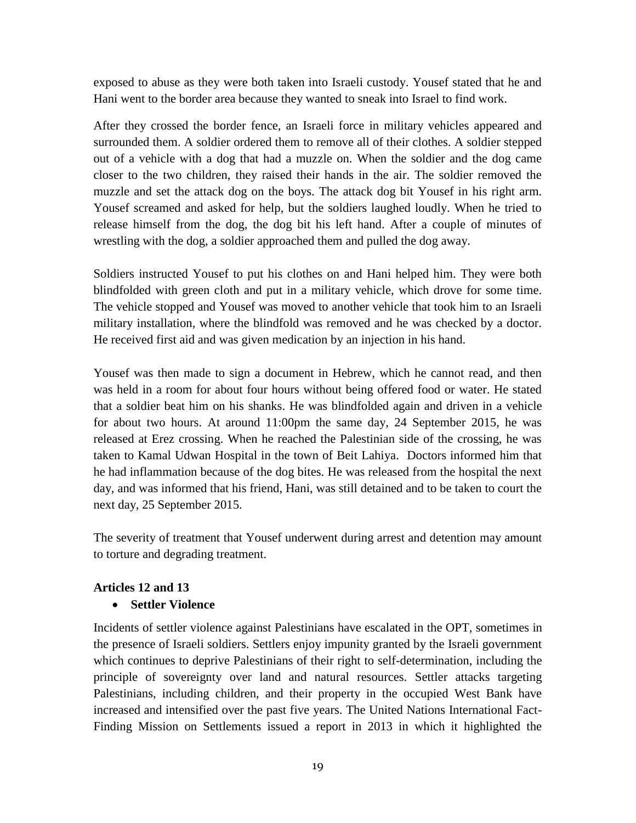exposed to abuse as they were both taken into Israeli custody. Yousef stated that he and Hani went to the border area because they wanted to sneak into Israel to find work.

After they crossed the border fence, an Israeli force in military vehicles appeared and surrounded them. A soldier ordered them to remove all of their clothes. A soldier stepped out of a vehicle with a dog that had a muzzle on. When the soldier and the dog came closer to the two children, they raised their hands in the air. The soldier removed the muzzle and set the attack dog on the boys. The attack dog bit Yousef in his right arm. Yousef screamed and asked for help, but the soldiers laughed loudly. When he tried to release himself from the dog, the dog bit his left hand. After a couple of minutes of wrestling with the dog, a soldier approached them and pulled the dog away.

Soldiers instructed Yousef to put his clothes on and Hani helped him. They were both blindfolded with green cloth and put in a military vehicle, which drove for some time. The vehicle stopped and Yousef was moved to another vehicle that took him to an Israeli military installation, where the blindfold was removed and he was checked by a doctor. He received first aid and was given medication by an injection in his hand.

Yousef was then made to sign a document in Hebrew, which he cannot read, and then was held in a room for about four hours without being offered food or water. He stated that a soldier beat him on his shanks. He was blindfolded again and driven in a vehicle for about two hours. At around 11:00pm the same day, 24 September 2015, he was released at Erez crossing. When he reached the Palestinian side of the crossing, he was taken to Kamal Udwan Hospital in the town of Beit Lahiya. Doctors informed him that he had inflammation because of the dog bites. He was released from the hospital the next day, and was informed that his friend, Hani, was still detained and to be taken to court the next day, 25 September 2015.

The severity of treatment that Yousef underwent during arrest and detention may amount to torture and degrading treatment.

# <span id="page-18-1"></span><span id="page-18-0"></span>**Articles 12 and 13**

# **Settler Violence**

Incidents of settler violence against Palestinians have escalated in the OPT, sometimes in the presence of Israeli soldiers. Settlers enjoy impunity granted by the Israeli government which continues to deprive Palestinians of their right to self-determination, including the principle of sovereignty over land and natural resources. Settler attacks targeting Palestinians, including children, and their property in the occupied West Bank have increased and intensified over the past five years. The United Nations International Fact-Finding Mission on Settlements issued a report in 2013 in which it highlighted the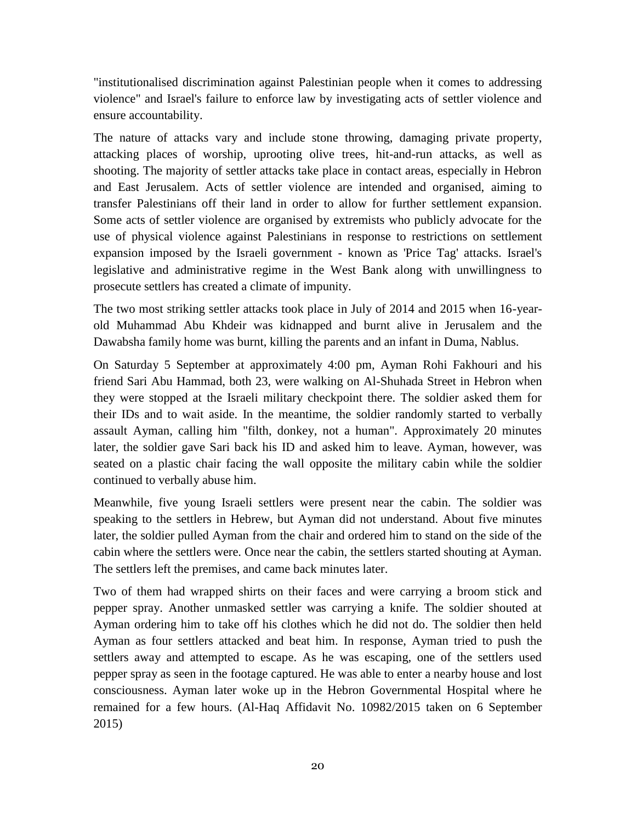"institutionalised discrimination against Palestinian people when it comes to addressing violence" and Israel's failure to enforce law by investigating acts of settler violence and ensure accountability.

The nature of attacks vary and include stone throwing, damaging private property, attacking places of worship, uprooting olive trees, hit-and-run attacks, as well as shooting. The majority of settler attacks take place in contact areas, especially in Hebron and East Jerusalem. Acts of settler violence are intended and organised, aiming to transfer Palestinians off their land in order to allow for further settlement expansion. Some acts of settler violence are organised by extremists who publicly advocate for the use of physical violence against Palestinians in response to restrictions on settlement expansion imposed by the Israeli government - known as 'Price Tag' attacks. Israel's legislative and administrative regime in the West Bank along with unwillingness to prosecute settlers has created a climate of impunity.

The two most striking settler attacks took place in July of 2014 and 2015 when 16-yearold Muhammad Abu Khdeir was kidnapped and burnt alive in Jerusalem and the Dawabsha family home was burnt, killing the parents and an infant in Duma, Nablus.

On Saturday 5 September at approximately 4:00 pm, Ayman Rohi Fakhouri and his friend Sari Abu Hammad, both 23, were walking on Al-Shuhada Street in Hebron when they were stopped at the Israeli military checkpoint there. The soldier asked them for their IDs and to wait aside. In the meantime, the soldier randomly started to verbally assault Ayman, calling him "filth, donkey, not a human". Approximately 20 minutes later, the soldier gave Sari back his ID and asked him to leave. Ayman, however, was seated on a plastic chair facing the wall opposite the military cabin while the soldier continued to verbally abuse him.

Meanwhile, five young Israeli settlers were present near the cabin. The soldier was speaking to the settlers in Hebrew, but Ayman did not understand. About five minutes later, the soldier pulled Ayman from the chair and ordered him to stand on the side of the cabin where the settlers were. Once near the cabin, the settlers started shouting at Ayman. The settlers left the premises, and came back minutes later.

Two of them had wrapped shirts on their faces and were carrying a broom stick and pepper spray. Another unmasked settler was carrying a knife. The soldier shouted at Ayman ordering him to take off his clothes which he did not do. The soldier then held Ayman as four settlers attacked and beat him. In response, Ayman tried to push the settlers away and attempted to escape. As he was escaping, one of the settlers used pepper spray as seen in the [footage](https://www.youtube.com/watch?v=O6rMB6h8ULE) captured. He was able to enter a nearby house and lost consciousness. Ayman later woke up in the Hebron Governmental Hospital where he remained for a few hours. (Al-Haq Affidavit No. 10982/2015 taken on 6 September 2015)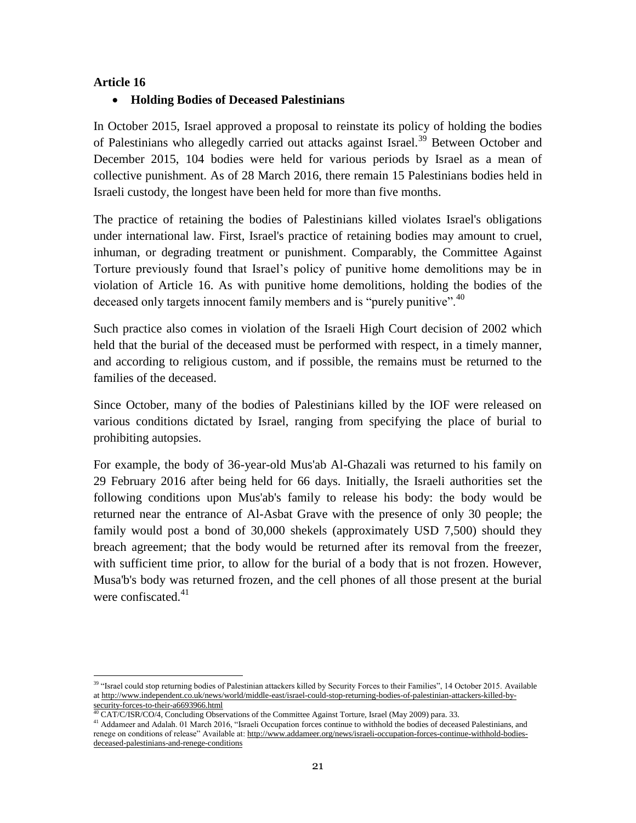## <span id="page-20-1"></span><span id="page-20-0"></span>**Article 16**

# **Holding Bodies of Deceased Palestinians**

In October 2015, Israel approved a proposal to reinstate its policy of holding the bodies of Palestinians who allegedly carried out attacks against Israel.<sup>39</sup> Between October and December 2015, 104 bodies were held for various periods by Israel as a mean of collective punishment. As of 28 March 2016, there remain 15 Palestinians bodies held in Israeli custody, the longest have been held for more than five months.

The practice of retaining the bodies of Palestinians killed violates Israel's obligations under international law. First, Israel's practice of retaining bodies may amount to cruel, inhuman, or degrading treatment or punishment. Comparably, the Committee Against Torture previously found that Israel's policy of punitive home demolitions may be in violation of Article 16. As with punitive home demolitions, holding the bodies of the deceased only targets innocent family members and is "purely punitive".<sup>40</sup>

Such practice also comes in violation of the Israeli High Court decision of 2002 which held that the burial of the deceased must be performed with respect, in a timely manner, and according to religious custom, and if possible, the remains must be returned to the families of the deceased.

Since October, many of the bodies of Palestinians killed by the IOF were released on various conditions dictated by Israel, ranging from specifying the place of burial to prohibiting autopsies.

For example, the body of 36-year-old Mus'ab Al-Ghazali was returned to his family on 29 February 2016 after being held for 66 days. Initially, the Israeli authorities set the following conditions upon Mus'ab's family to release his body: the body would be returned near the entrance of Al-Asbat Grave with the presence of only 30 people; the family would post a bond of 30,000 shekels (approximately USD 7,500) should they breach agreement; that the body would be returned after its removal from the freezer, with sufficient time prior, to allow for the burial of a body that is not frozen. However, Musa'b's body was returned frozen, and the cell phones of all those present at the burial were confiscated.<sup>41</sup>

 $\overline{\phantom{a}}$ <sup>39</sup> "Israel could stop returning bodies of Palestinian attackers killed by Security Forces to their Families", 14 October 2015. Available at [http://www.independent.co.uk/news/world/middle-east/israel-could-stop-returning-bodies-of-palestinian-attackers-killed-by](http://www.independent.co.uk/news/world/middle-east/israel-could-stop-returning-bodies-of-palestinian-attackers-killed-by-security-forces-to-their-a6693966.html)[security-forces-to-their-a6693966.html](http://www.independent.co.uk/news/world/middle-east/israel-could-stop-returning-bodies-of-palestinian-attackers-killed-by-security-forces-to-their-a6693966.html)

<sup>40</sup> CAT/C/ISR/CO/4, Concluding Observations of the Committee Against Torture, Israel (May 2009) para. 33.

<sup>&</sup>lt;sup>41</sup> Addameer and Adalah. 01 March 2016, "Israeli Occupation forces continue to withhold the bodies of deceased Palestinians, and renege on conditions of release" Available at[: http://www.addameer.org/news/israeli-occupation-forces-continue-withhold-bodies](http://www.addameer.org/news/israeli-occupation-forces-continue-withhold-bodies-deceased-palestinians-and-renege-conditions)[deceased-palestinians-and-renege-conditions](http://www.addameer.org/news/israeli-occupation-forces-continue-withhold-bodies-deceased-palestinians-and-renege-conditions)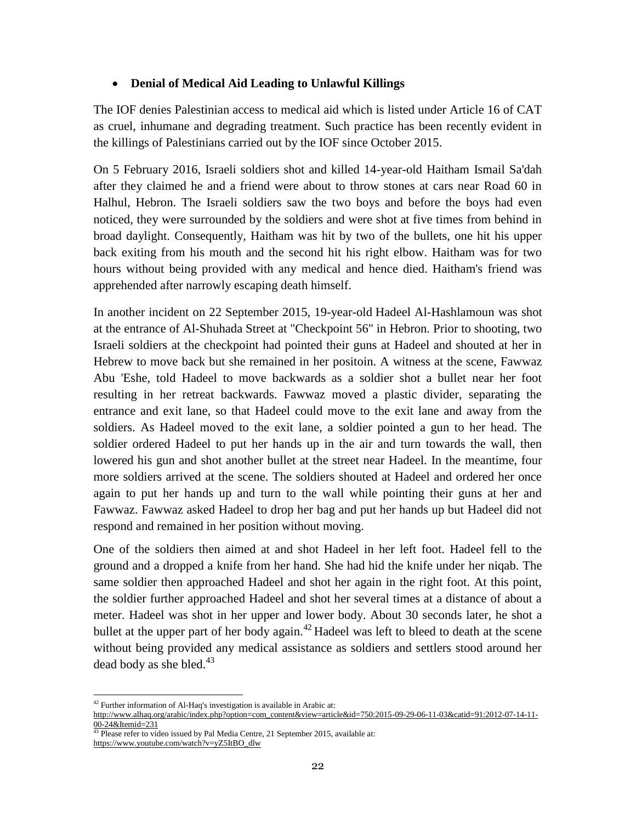## <span id="page-21-0"></span>**Denial of Medical Aid Leading to Unlawful Killings**

The IOF denies Palestinian access to medical aid which is listed under Article 16 of CAT as cruel, inhumane and degrading treatment. Such practice has been recently evident in the killings of Palestinians carried out by the IOF since October 2015.

On 5 February 2016, Israeli soldiers shot and killed 14-year-old Haitham Ismail Sa'dah after they claimed he and a friend were about to throw stones at cars near Road 60 in Halhul, Hebron. The Israeli soldiers saw the two boys and before the boys had even noticed, they were surrounded by the soldiers and were shot at five times from behind in broad daylight. Consequently, Haitham was hit by two of the bullets, one hit his upper back exiting from his mouth and the second hit his right elbow. Haitham was for two hours without being provided with any medical and hence died. Haitham's friend was apprehended after narrowly escaping death himself.

In another incident on 22 September 2015, 19-year-old Hadeel Al-Hashlamoun was shot at the entrance of Al-Shuhada Street at "Checkpoint 56" in Hebron. Prior to shooting, two Israeli soldiers at the checkpoint had pointed their guns at Hadeel and shouted at her in Hebrew to move back but she remained in her positoin. A witness at the scene, Fawwaz Abu 'Eshe, told Hadeel to move backwards as a soldier shot a bullet near her foot resulting in her retreat backwards. Fawwaz moved a plastic divider, separating the entrance and exit lane, so that Hadeel could move to the exit lane and away from the soldiers. As Hadeel moved to the exit lane, a soldier pointed a gun to her head. The soldier ordered Hadeel to put her hands up in the air and turn towards the wall, then lowered his gun and shot another bullet at the street near Hadeel. In the meantime, four more soldiers arrived at the scene. The soldiers shouted at Hadeel and ordered her once again to put her hands up and turn to the wall while pointing their guns at her and Fawwaz. Fawwaz asked Hadeel to drop her bag and put her hands up but Hadeel did not respond and remained in her position without moving.

One of the soldiers then aimed at and shot Hadeel in her left foot. Hadeel fell to the ground and a dropped a knife from her hand. She had hid the knife under her niqab. The same soldier then approached Hadeel and shot her again in the right foot. At this point, the soldier further approached Hadeel and shot her several times at a distance of about a meter. Hadeel was shot in her upper and lower body. About 30 seconds later, he shot a bullet at the upper part of her body again.<sup>42</sup> Hadeel was left to bleed to death at the scene without being provided any medical assistance as soldiers and settlers stood around her dead body as she bled. $43$ 

 $\overline{\phantom{a}}$ <sup>42</sup> Further information of Al-Haq's investigation is available in Arabic at:

[http://www.alhaq.org/arabic/index.php?option=com\\_content&view=article&id=750:2015-09-29-06-11-03&catid=91:2012-07-14-11-](http://www.alhaq.org/arabic/index.php?option=com_content&view=article&id=750:2015-09-29-06-11-03&catid=91:2012-07-14-11-00-24&Itemid=231) [00-24&Itemid=231](http://www.alhaq.org/arabic/index.php?option=com_content&view=article&id=750:2015-09-29-06-11-03&catid=91:2012-07-14-11-00-24&Itemid=231)

<sup>&</sup>lt;sup>43</sup> Please refer to video issued by Pal Media Centre, 21 September 2015, available at: [https://www.youtube.com/watch?v=yZ5ItBO\\_dlw](https://www.youtube.com/watch?v=yZ5ItBO_dlw)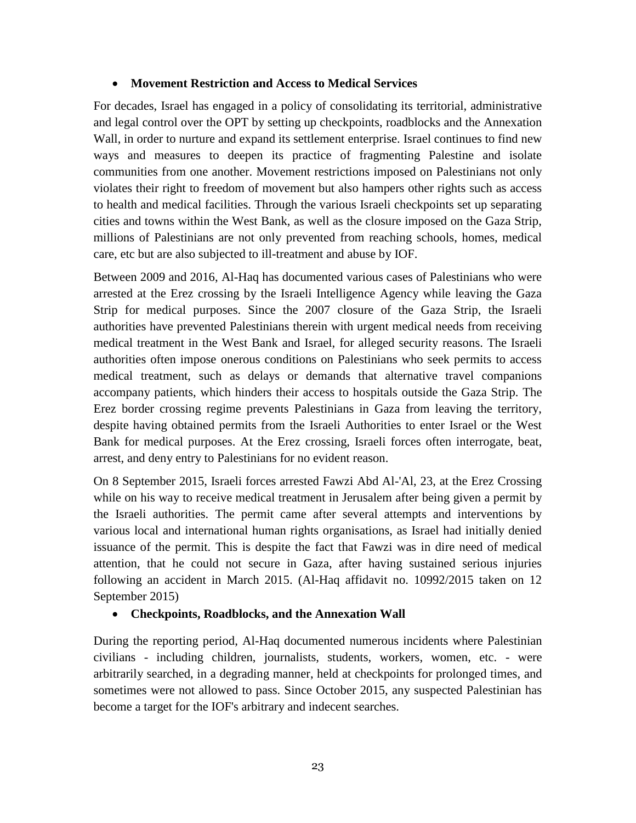## <span id="page-22-0"></span>**Movement Restriction and Access to Medical Services**

For decades, Israel has engaged in a policy of consolidating its territorial, administrative and legal control over the OPT by setting up checkpoints, roadblocks and the Annexation Wall, in order to nurture and expand its settlement enterprise. Israel continues to find new ways and measures to deepen its practice of fragmenting Palestine and isolate communities from one another. Movement restrictions imposed on Palestinians not only violates their right to freedom of movement but also hampers other rights such as access to health and medical facilities. Through the various Israeli checkpoints set up separating cities and towns within the West Bank, as well as the closure imposed on the Gaza Strip, millions of Palestinians are not only prevented from reaching schools, homes, medical care, etc but are also subjected to ill-treatment and abuse by IOF.

Between 2009 and 2016, Al-Haq has documented various cases of Palestinians who were arrested at the Erez crossing by the Israeli Intelligence Agency while leaving the Gaza Strip for medical purposes. Since the 2007 closure of the Gaza Strip, the Israeli authorities have prevented Palestinians therein with urgent medical needs from receiving medical treatment in the West Bank and Israel, for alleged security reasons. The Israeli authorities often impose onerous conditions on Palestinians who seek permits to access medical treatment, such as delays or demands that alternative travel companions accompany patients, which hinders their access to hospitals outside the Gaza Strip. The Erez border crossing regime prevents Palestinians in Gaza from leaving the territory, despite having obtained permits from the Israeli Authorities to enter Israel or the West Bank for medical purposes. At the Erez crossing, Israeli forces often interrogate, beat, arrest, and deny entry to Palestinians for no evident reason.

On 8 September 2015, Israeli forces arrested Fawzi Abd Al-'Al, 23, at the Erez Crossing while on his way to receive medical treatment in Jerusalem after being given a permit by the Israeli authorities. The permit came after several attempts and interventions by various local and international human rights organisations, as Israel had initially denied issuance of the permit. This is despite the fact that Fawzi was in dire need of medical attention, that he could not secure in Gaza, after having sustained serious injuries following an accident in March 2015. (Al-Haq affidavit no. 10992/2015 taken on 12 September 2015)

# <span id="page-22-1"></span>**Checkpoints, Roadblocks, and the Annexation Wall**

During the reporting period, Al-Haq documented numerous incidents where Palestinian civilians - including children, journalists, students, workers, women, etc. - were arbitrarily searched, in a degrading manner, held at checkpoints for prolonged times, and sometimes were not allowed to pass. Since October 2015, any suspected Palestinian has become a target for the IOF's arbitrary and indecent searches.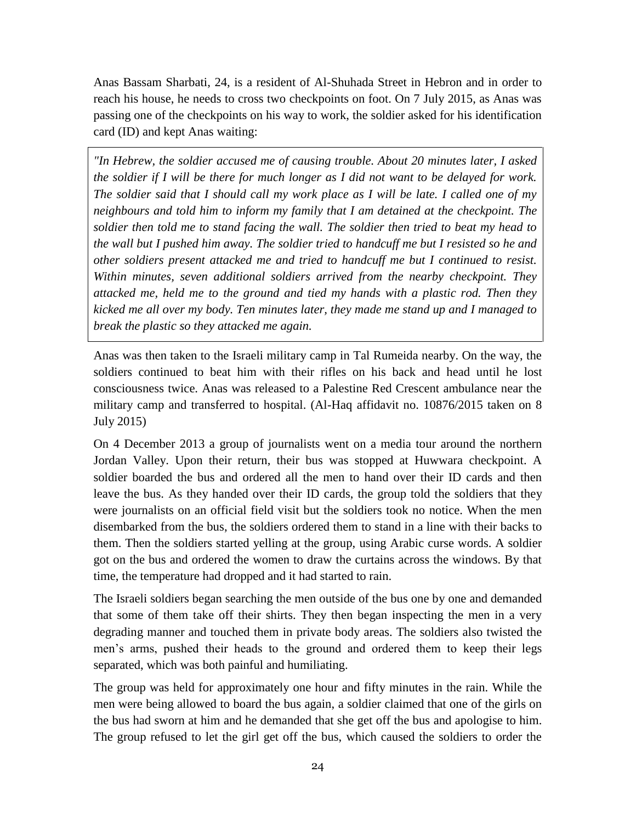Anas Bassam Sharbati, 24, is a resident of Al-Shuhada Street in Hebron and in order to reach his house, he needs to cross two checkpoints on foot. On 7 July 2015, as Anas was passing one of the checkpoints on his way to work, the soldier asked for his identification card (ID) and kept Anas waiting:

*"In Hebrew, the soldier accused me of causing trouble. About 20 minutes later, I asked the soldier if I will be there for much longer as I did not want to be delayed for work. The soldier said that I should call my work place as I will be late. I called one of my neighbours and told him to inform my family that I am detained at the checkpoint. The soldier then told me to stand facing the wall. The soldier then tried to beat my head to the wall but I pushed him away. The soldier tried to handcuff me but I resisted so he and other soldiers present attacked me and tried to handcuff me but I continued to resist. Within minutes, seven additional soldiers arrived from the nearby checkpoint. They attacked me, held me to the ground and tied my hands with a plastic rod. Then they kicked me all over my body. Ten minutes later, they made me stand up and I managed to break the plastic so they attacked me again.*

Anas was then taken to the Israeli military camp in Tal Rumeida nearby. On the way, the soldiers continued to beat him with their rifles on his back and head until he lost consciousness twice. Anas was released to a Palestine Red Crescent ambulance near the military camp and transferred to hospital. (Al-Haq affidavit no. 10876/2015 taken on 8 July 2015)

On 4 December 2013 a group of journalists went on a media tour around the northern Jordan Valley. Upon their return, their bus was stopped at Huwwara checkpoint. A soldier boarded the bus and ordered all the men to hand over their ID cards and then leave the bus. As they handed over their ID cards, the group told the soldiers that they were journalists on an official field visit but the soldiers took no notice. When the men disembarked from the bus, the soldiers ordered them to stand in a line with their backs to them. Then the soldiers started yelling at the group, using Arabic curse words. A soldier got on the bus and ordered the women to draw the curtains across the windows. By that time, the temperature had dropped and it had started to rain.

The Israeli soldiers began searching the men outside of the bus one by one and demanded that some of them take off their shirts. They then began inspecting the men in a very degrading manner and touched them in private body areas. The soldiers also twisted the men's arms, pushed their heads to the ground and ordered them to keep their legs separated, which was both painful and humiliating.

The group was held for approximately one hour and fifty minutes in the rain. While the men were being allowed to board the bus again, a soldier claimed that one of the girls on the bus had sworn at him and he demanded that she get off the bus and apologise to him. The group refused to let the girl get off the bus, which caused the soldiers to order the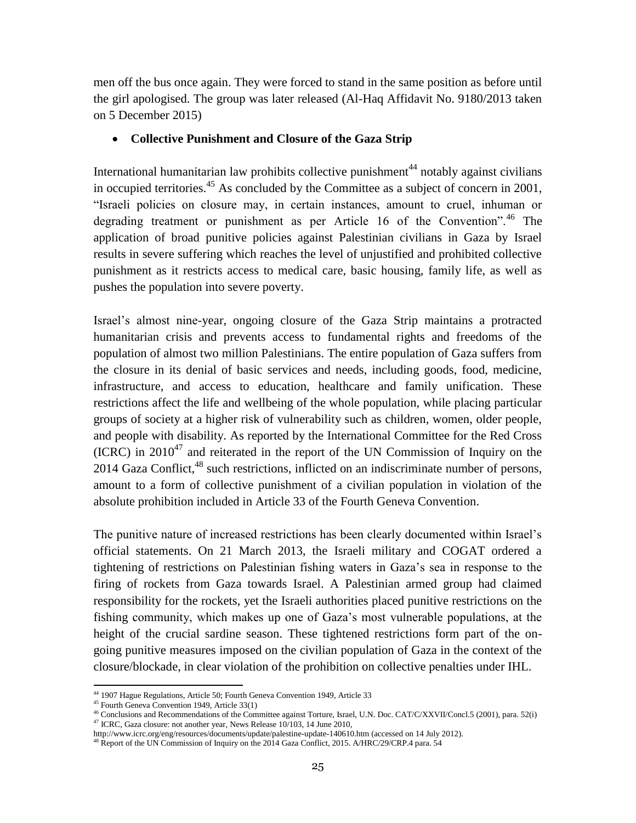men off the bus once again. They were forced to stand in the same position as before until the girl apologised. The group was later released (Al-Haq Affidavit No. 9180/2013 taken on 5 December 2015)

# <span id="page-24-0"></span>**Collective Punishment and Closure of the Gaza Strip**

International humanitarian law prohibits collective punishment<sup>44</sup> notably against civilians in occupied territories.<sup>45</sup> As concluded by the Committee as a subject of concern in 2001, "Israeli policies on closure may, in certain instances, amount to cruel, inhuman or degrading treatment or punishment as per Article 16 of the Convention". The application of broad punitive policies against Palestinian civilians in Gaza by Israel results in severe suffering which reaches the level of unjustified and prohibited collective punishment as it restricts access to medical care, basic housing, family life, as well as pushes the population into severe poverty.

Israel's almost nine-year, ongoing closure of the Gaza Strip maintains a protracted humanitarian crisis and prevents access to fundamental rights and freedoms of the population of almost two million Palestinians. The entire population of Gaza suffers from the closure in its denial of basic services and needs, including goods, food, medicine, infrastructure, and access to education, healthcare and family unification. These restrictions affect the life and wellbeing of the whole population, while placing particular groups of society at a higher risk of vulnerability such as children, women, older people, and people with disability. As reported by the International Committee for the Red Cross  $(ICRC)$  in  $2010^{47}$  and reiterated in the report of the UN Commission of Inquiry on the 2014 Gaza Conflict,<sup>48</sup> such restrictions, inflicted on an indiscriminate number of persons, amount to a form of collective punishment of a civilian population in violation of the absolute prohibition included in Article 33 of the Fourth Geneva Convention.

The punitive nature of increased restrictions has been clearly documented within Israel's official statements. On 21 March 2013, the Israeli military and COGAT ordered a tightening of restrictions on Palestinian fishing waters in Gaza's sea in response to the firing of rockets from Gaza towards Israel. A Palestinian armed group had claimed responsibility for the rockets, yet the Israeli authorities placed punitive restrictions on the fishing community, which makes up one of Gaza's most vulnerable populations, at the height of the crucial sardine season. These tightened restrictions form part of the ongoing punitive measures imposed on the civilian population of Gaza in the context of the closure/blockade, in clear violation of the prohibition on collective penalties under IHL.

 $\overline{a}$ <sup>44</sup> 1907 Hague Regulations, Article 50; Fourth Geneva Convention 1949, Article 33

<sup>45</sup> Fourth Geneva Convention 1949, Article 33(1)

<sup>46</sup> Conclusions and Recommendations of the Committee against Torture, Israel, U.N. Doc. CAT/C/XXVII/Concl.5 (2001), para. 52(i) <sup>47</sup> ICRC, Gaza closure: not another year, News Release 10/103, 14 June 2010,

http://www.icrc.org/eng/resources/documents/update/palestine-update-140610.htm (accessed on 14 July 2012).

<sup>&</sup>lt;sup>48</sup> Report of the UN Commission of Inquiry on the 2014 Gaza Conflict, 2015. A/HRC/29/CRP.4 para. 54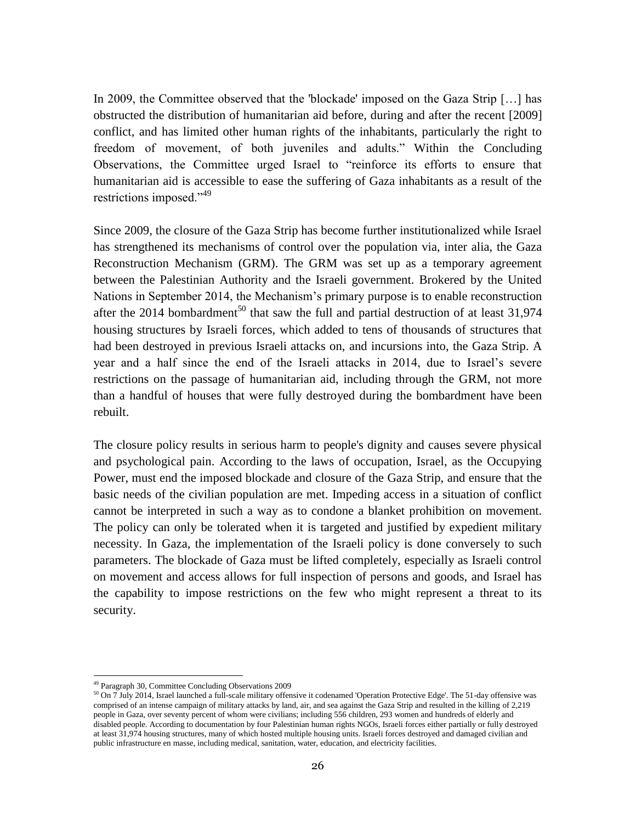In 2009, the Committee observed that the 'blockade' imposed on the Gaza Strip […] has obstructed the distribution of humanitarian aid before, during and after the recent [2009] conflict, and has limited other human rights of the inhabitants, particularly the right to freedom of movement, of both juveniles and adults." Within the Concluding Observations, the Committee urged Israel to "reinforce its efforts to ensure that humanitarian aid is accessible to ease the suffering of Gaza inhabitants as a result of the restrictions imposed."<sup>49</sup>

Since 2009, the closure of the Gaza Strip has become further institutionalized while Israel has strengthened its mechanisms of control over the population via, inter alia, the Gaza Reconstruction Mechanism (GRM). The GRM was set up as a temporary agreement between the Palestinian Authority and the Israeli government. Brokered by the United Nations in September 2014, the Mechanism's primary purpose is to enable reconstruction after the 2014 bombardment<sup>50</sup> that saw the full and partial destruction of at least  $31,974$ housing structures by Israeli forces, which added to tens of thousands of structures that had been destroyed in previous Israeli attacks on, and incursions into, the Gaza Strip. A year and a half since the end of the Israeli attacks in 2014, due to Israel's severe restrictions on the passage of humanitarian aid, including through the GRM, not more than a handful of houses that were fully destroyed during the bombardment have been rebuilt.

The closure policy results in serious harm to people's dignity and causes severe physical and psychological pain. According to the laws of occupation, Israel, as the Occupying Power, must end the imposed blockade and closure of the Gaza Strip, and ensure that the basic needs of the civilian population are met. Impeding access in a situation of conflict cannot be interpreted in such a way as to condone a blanket prohibition on movement. The policy can only be tolerated when it is targeted and justified by expedient military necessity. In Gaza, the implementation of the Israeli policy is done conversely to such parameters. The blockade of Gaza must be lifted completely, especially as Israeli control on movement and access allows for full inspection of persons and goods, and Israel has the capability to impose restrictions on the few who might represent a threat to its security.

 $\overline{\phantom{a}}$ 

<sup>49</sup> Paragraph 30, Committee Concluding Observations 2009

<sup>&</sup>lt;sup>50</sup> On 7 July 2014, Israel launched a full-scale military offensive it codenamed 'Operation Protective Edge'. The 51-day offensive was comprised of an intense campaign of military attacks by land, air, and sea against the Gaza Strip and resulted in the killing of 2,219 people in Gaza, over seventy percent of whom were civilians; including 556 children, 293 women and hundreds of elderly and disabled people. According to documentation by four Palestinian human rights NGOs, Israeli forces either partially or fully destroyed at least 31,974 housing structures, many of which hosted multiple housing units. Israeli forces destroyed and damaged civilian and public infrastructure en masse, including medical, sanitation, water, education, and electricity facilities.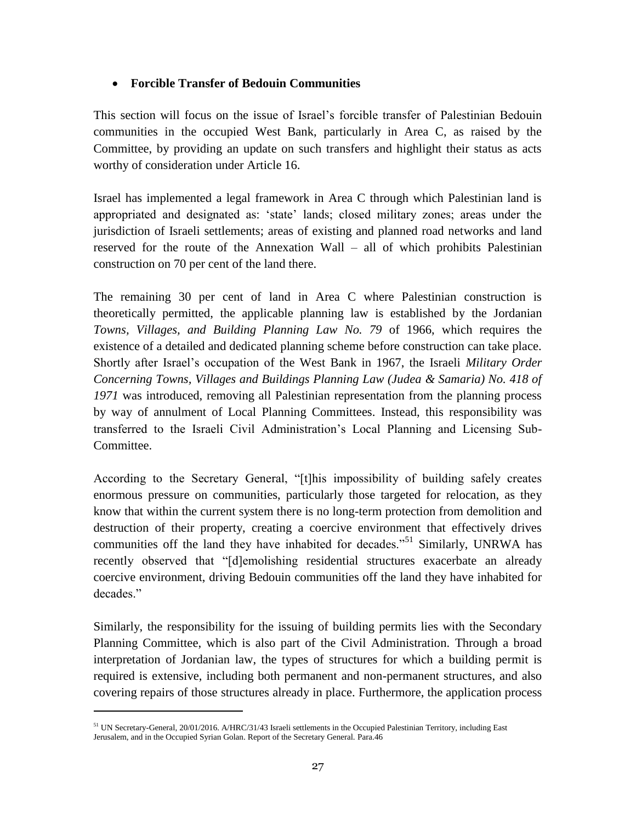# <span id="page-26-0"></span>**Forcible Transfer of Bedouin Communities**

This section will focus on the issue of Israel's forcible transfer of Palestinian Bedouin communities in the occupied West Bank, particularly in Area C, as raised by the Committee, by providing an update on such transfers and highlight their status as acts worthy of consideration under Article 16.

Israel has implemented a legal framework in Area C through which Palestinian land is appropriated and designated as: 'state' lands; closed military zones; areas under the jurisdiction of Israeli settlements; areas of existing and planned road networks and land reserved for the route of the Annexation Wall – all of which prohibits Palestinian construction on 70 per cent of the land there.

The remaining 30 per cent of land in Area C where Palestinian construction is theoretically permitted, the applicable planning law is established by the Jordanian *Towns, Villages, and Building Planning Law No. 79* of 1966, which requires the existence of a detailed and dedicated planning scheme before construction can take place. Shortly after Israel's occupation of the West Bank in 1967, the Israeli *Military Order Concerning Towns, Villages and Buildings Planning Law (Judea & Samaria) No. 418 of 1971* was introduced, removing all Palestinian representation from the planning process by way of annulment of Local Planning Committees. Instead, this responsibility was transferred to the Israeli Civil Administration's Local Planning and Licensing Sub-Committee.

According to the Secretary General, "[t]his impossibility of building safely creates enormous pressure on communities, particularly those targeted for relocation, as they know that within the current system there is no long-term protection from demolition and destruction of their property, creating a coercive environment that effectively drives communities off the land they have inhabited for decades."<sup>51</sup> Similarly, UNRWA has recently observed that "[d]emolishing residential structures exacerbate an already coercive environment, driving Bedouin communities off the land they have inhabited for decades."

Similarly, the responsibility for the issuing of building permits lies with the Secondary Planning Committee, which is also part of the Civil Administration. Through a broad interpretation of Jordanian law, the types of structures for which a building permit is required is extensive, including both permanent and non-permanent structures, and also covering repairs of those structures already in place. Furthermore, the application process

l

<sup>51</sup> UN Secretary-General, 20/01/2016. A/HRC/31/43 Israeli settlements in the Occupied Palestinian Territory, including East Jerusalem, and in the Occupied Syrian Golan. Report of the Secretary General. Para.46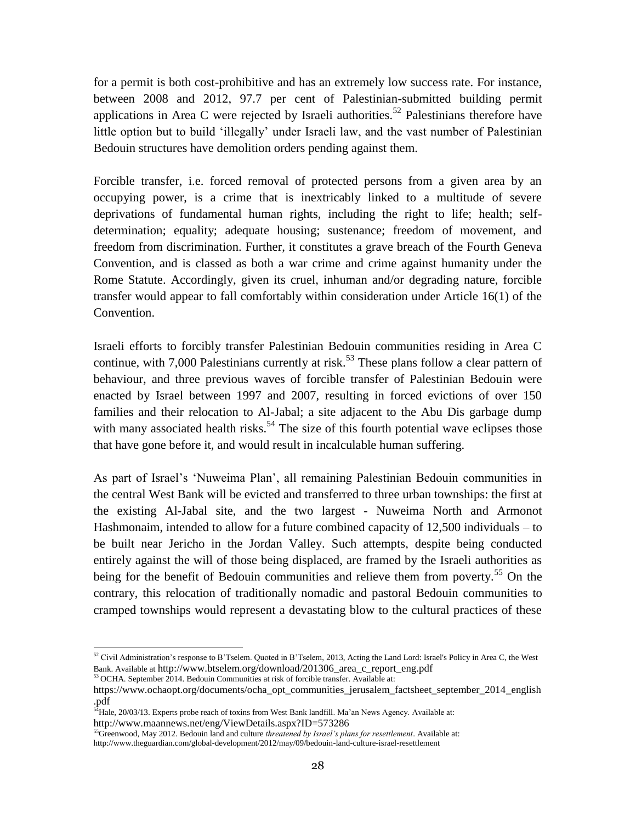for a permit is both cost-prohibitive and has an extremely low success rate. For instance, between 2008 and 2012, 97.7 per cent of Palestinian-submitted building permit applications in Area C were rejected by Israeli authorities.<sup>52</sup> Palestinians therefore have little option but to build 'illegally' under Israeli law, and the vast number of Palestinian Bedouin structures have demolition orders pending against them.

Forcible transfer, i.e. forced removal of protected persons from a given area by an occupying power, is a crime that is inextricably linked to a multitude of severe deprivations of fundamental human rights, including the right to life; health; selfdetermination; equality; adequate housing; sustenance; freedom of movement, and freedom from discrimination. Further, it constitutes a grave breach of the Fourth Geneva Convention, and is classed as both a war crime and crime against humanity under the Rome Statute. Accordingly, given its cruel, inhuman and/or degrading nature, forcible transfer would appear to fall comfortably within consideration under Article 16(1) of the Convention.

Israeli efforts to forcibly transfer Palestinian Bedouin communities residing in Area C continue, with 7,000 Palestinians currently at risk.<sup>53</sup> These plans follow a clear pattern of behaviour, and three previous waves of forcible transfer of Palestinian Bedouin were enacted by Israel between 1997 and 2007, resulting in forced evictions of over 150 families and their relocation to Al-Jabal; a site adjacent to the Abu Dis garbage dump with many associated health risks.<sup>54</sup> The size of this fourth potential wave eclipses those that have gone before it, and would result in incalculable human suffering.

As part of Israel's 'Nuweima Plan', all remaining Palestinian Bedouin communities in the central West Bank will be evicted and transferred to three urban townships: the first at the existing Al-Jabal site, and the two largest - Nuweima North and Armonot Hashmonaim, intended to allow for a future combined capacity of 12,500 individuals – to be built near Jericho in the Jordan Valley. Such attempts, despite being conducted entirely against the will of those being displaced, are framed by the Israeli authorities as being for the benefit of Bedouin communities and relieve them from poverty.<sup>55</sup> On the contrary, this relocation of traditionally nomadic and pastoral Bedouin communities to cramped townships would represent a devastating blow to the cultural practices of these

 $\overline{a}$ 

 $52$  Civil Administration's response to B'Tselem. Quoted in B'Tselem, 2013, Acting the Land Lord: Israel's Policy in Area C, the West Bank. Available at [http://www.btselem.org/download/201306\\_area\\_c\\_report\\_eng.pdf](http://www.btselem.org/download/201306_area_c_report_eng.pdf)

<sup>53</sup> OCHA. September 2014. Bedouin Communities at risk of forcible transfer. Available at:

[https://www.ochaopt.org/documents/ocha\\_opt\\_communities\\_jerusalem\\_factsheet\\_september\\_2014\\_english](https://www.ochaopt.org/documents/ocha_opt_communities_jerusalem_factsheet_september_2014_english.pdf) [.pdf](https://www.ochaopt.org/documents/ocha_opt_communities_jerusalem_factsheet_september_2014_english.pdf)

<sup>&</sup>lt;sup>54</sup>Hale, 20/03/13. Experts probe reach of toxins from West Bank landfill. Ma'an News Agency. Available at: <http://www.maannews.net/eng/ViewDetails.aspx?ID=573286>

<sup>55</sup>Greenwood, May 2012. Bedouin land and culture *threatened by Israel's plans for resettlement*. Available at: http://www.theguardian.com/global-development/2012/may/09/bedouin-land-culture-israel-resettlement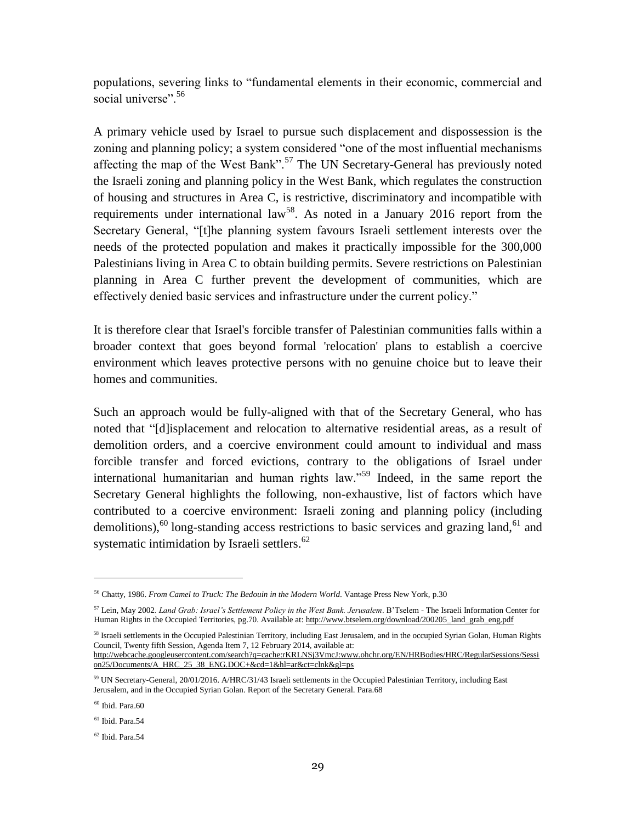populations, severing links to "fundamental elements in their economic, commercial and social universe".<sup>56</sup>

A primary vehicle used by Israel to pursue such displacement and dispossession is the zoning and planning policy; a system considered "one of the most influential mechanisms affecting the map of the West Bank".<sup>57</sup> The UN Secretary-General has previously noted the Israeli zoning and planning policy in the West Bank, which regulates the construction of housing and structures in Area C, is restrictive, discriminatory and incompatible with requirements under international law<sup>58</sup>. As noted in a January 2016 report from the Secretary General, "[t]he planning system favours Israeli settlement interests over the needs of the protected population and makes it practically impossible for the 300,000 Palestinians living in Area C to obtain building permits. Severe restrictions on Palestinian planning in Area C further prevent the development of communities, which are effectively denied basic services and infrastructure under the current policy."

It is therefore clear that Israel's forcible transfer of Palestinian communities falls within a broader context that goes beyond formal 'relocation' plans to establish a coercive environment which leaves protective persons with no genuine choice but to leave their homes and communities.

Such an approach would be fully-aligned with that of the Secretary General, who has noted that "[d]isplacement and relocation to alternative residential areas, as a result of demolition orders, and a coercive environment could amount to individual and mass forcible transfer and forced evictions, contrary to the obligations of Israel under international humanitarian and human rights law."<sup>59</sup> Indeed, in the same report the Secretary General highlights the following, non-exhaustive, list of factors which have contributed to a coercive environment: Israeli zoning and planning policy (including demolitions),<sup>60</sup> long-standing access restrictions to basic services and grazing land,<sup>61</sup> and systematic intimidation by Israeli settlers.<sup>62</sup>

<sup>58</sup> Israeli settlements in the Occupied Palestinian Territory, including East Jerusalem, and in the occupied Syrian Golan, Human Rights Council, Twenty fifth Session, Agenda Item 7, 12 February 2014, available at: [http://webcache.googleusercontent.com/search?q=cache:rKRLNSj3VmcJ:www.ohchr.org/EN/HRBodies/HRC/RegularSessions/Sessi](http://webcache.googleusercontent.com/search?q=cache:rKRLNSj3VmcJ:www.ohchr.org/EN/HRBodies/HRC/RegularSessions/Session25/Documents/A_HRC_25_38_ENG.DOC+&cd=1&hl=ar&ct=clnk&gl=ps) [on25/Documents/A\\_HRC\\_25\\_38\\_ENG.DOC+&cd=1&hl=ar&ct=clnk&gl=ps](http://webcache.googleusercontent.com/search?q=cache:rKRLNSj3VmcJ:www.ohchr.org/EN/HRBodies/HRC/RegularSessions/Session25/Documents/A_HRC_25_38_ENG.DOC+&cd=1&hl=ar&ct=clnk&gl=ps)

 $\overline{\phantom{a}}$ 

<sup>56</sup> Chatty, 1986. *From Camel to Truck: The Bedouin in the Modern World*. Vantage Press New York, p.30

<sup>57</sup> Lein, May 2002*. Land Grab: Israel's Settlement Policy in the West Bank. Jerusalem*. B'Tselem - The Israeli Information Center for Human Rights in the Occupied Territories, pg.70. Available at[: http://www.btselem.org/download/200205\\_land\\_grab\\_eng.pdf](http://www.btselem.org/download/200205_land_grab_eng.pdf)

<sup>59</sup> UN Secretary-General, 20/01/2016. A/HRC/31/43 Israeli settlements in the Occupied Palestinian Territory, including East Jerusalem, and in the Occupied Syrian Golan. Report of the Secretary General. Para.68

 $60$  Ibid. Para. $60$ 

<sup>61</sup> Ibid. Para.54

<sup>62</sup> Ibid. Para.54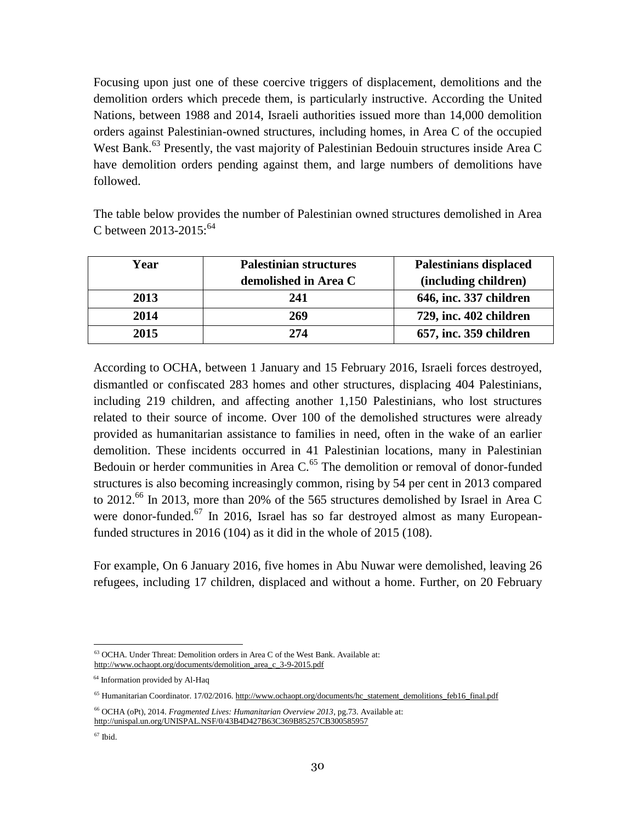Focusing upon just one of these coercive triggers of displacement, demolitions and the demolition orders which precede them, is particularly instructive. According the United Nations, between 1988 and 2014, Israeli authorities issued more than 14,000 demolition orders against Palestinian-owned structures, including homes, in Area C of the occupied West Bank.<sup>63</sup> Presently, the vast majority of Palestinian Bedouin structures inside Area C have demolition orders pending against them, and large numbers of demolitions have followed.

The table below provides the number of Palestinian owned structures demolished in Area C between  $2013 - 2015$ :<sup>64</sup>

| Year | <b>Palestinian structures</b> | <b>Palestinians displaced</b> |
|------|-------------------------------|-------------------------------|
|      | demolished in Area C          | (including children)          |
| 2013 | 241                           | 646, inc. 337 children        |
| 2014 | 269                           | 729, inc. 402 children        |
| 2015 | 274                           | 657, inc. 359 children        |

According to OCHA, between 1 January and 15 February 2016, Israeli forces destroyed, dismantled or confiscated 283 homes and other structures, displacing 404 Palestinians, including 219 children, and affecting another 1,150 Palestinians, who lost structures related to their source of income. Over 100 of the demolished structures were already provided as humanitarian assistance to families in need, often in the wake of an earlier demolition. These incidents occurred in 41 Palestinian locations, many in Palestinian Bedouin or herder communities in Area C. $<sup>65</sup>$  The demolition or removal of donor-funded</sup> structures is also becoming increasingly common, rising by 54 per cent in 2013 compared to 2012.<sup>66</sup> In 2013, more than 20% of the 565 structures demolished by Israel in Area C were donor-funded.<sup>67</sup> In 2016, Israel has so far destroyed almost as many Europeanfunded structures in 2016 (104) as it did in the whole of 2015 (108).

For example, On 6 January 2016, five homes in Abu Nuwar were demolished, leaving 26 refugees, including 17 children, displaced and without a home. Further, on 20 February

 $\overline{\phantom{a}}$  $63$  OCHA. Under Threat: Demolition orders in Area C of the West Bank. Available at: [http://www.ochaopt.org/documents/demolition\\_area\\_c\\_3-9-2015.pdf](http://www.ochaopt.org/documents/demolition_area_c_3-9-2015.pdf)

<sup>64</sup> Information provided by Al-Haq

<sup>&</sup>lt;sup>65</sup> Humanitarian Coordinator. 17/02/2016. [http://www.ochaopt.org/documents/hc\\_statement\\_demolitions\\_feb16\\_final.pdf](http://www.ochaopt.org/documents/hc_statement_demolitions_feb16_final.pdf)

<sup>66</sup> OCHA (oPt), 2014. *Fragmented Lives: Humanitarian Overview 2013*, pg.73. Available at: <http://unispal.un.org/UNISPAL.NSF/0/43B4D427B63C369B85257CB300585957>

 $67$  Ibid.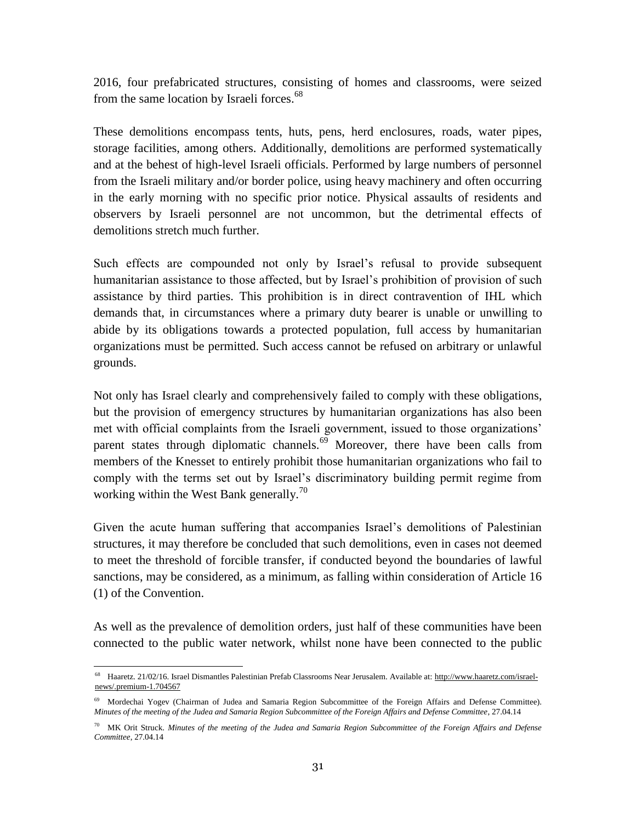2016, four prefabricated structures, consisting of homes and classrooms, were seized from the same location by Israeli forces.<sup>68</sup>

These demolitions encompass tents, huts, pens, herd enclosures, roads, water pipes, storage facilities, among others. Additionally, demolitions are performed systematically and at the behest of high-level Israeli officials. Performed by large numbers of personnel from the Israeli military and/or border police, using heavy machinery and often occurring in the early morning with no specific prior notice. Physical assaults of residents and observers by Israeli personnel are not uncommon, but the detrimental effects of demolitions stretch much further.

Such effects are compounded not only by Israel's refusal to provide subsequent humanitarian assistance to those affected, but by Israel's prohibition of provision of such assistance by third parties. This prohibition is in direct contravention of IHL which demands that, in circumstances where a primary duty bearer is unable or unwilling to abide by its obligations towards a protected population, full access by humanitarian organizations must be permitted. Such access cannot be refused on arbitrary or unlawful grounds.

Not only has Israel clearly and comprehensively failed to comply with these obligations, but the provision of emergency structures by humanitarian organizations has also been met with official complaints from the Israeli government, issued to those organizations' parent states through diplomatic channels.<sup>69</sup> Moreover, there have been calls from members of the Knesset to entirely prohibit those humanitarian organizations who fail to comply with the terms set out by Israel's discriminatory building permit regime from working within the West Bank generally.<sup>70</sup>

Given the acute human suffering that accompanies Israel's demolitions of Palestinian structures, it may therefore be concluded that such demolitions, even in cases not deemed to meet the threshold of forcible transfer, if conducted beyond the boundaries of lawful sanctions, may be considered, as a minimum, as falling within consideration of Article 16 (1) of the Convention.

As well as the prevalence of demolition orders, just half of these communities have been connected to the public water network, whilst none have been connected to the public

 $\overline{a}$ <sup>68</sup> Haaretz. 21/02/16. Israel Dismantles Palestinian Prefab Classrooms Near Jerusalem. Available at[: http://www.haaretz.com/israel](http://www.haaretz.com/israel-news/.premium-1.704567)[news/.premium-1.704567](http://www.haaretz.com/israel-news/.premium-1.704567)

<sup>69</sup> Mordechai Yogev (Chairman of Judea and Samaria Region Subcommittee of the Foreign Affairs and Defense Committee). *Minutes of the meeting of the Judea and Samaria Region Subcommittee of the Foreign Affairs and Defense Committee*, 27.04.14

<sup>70</sup> MK Orit Struck. *Minutes of the meeting of the Judea and Samaria Region Subcommittee of the Foreign Affairs and Defense Committee*, 27.04.14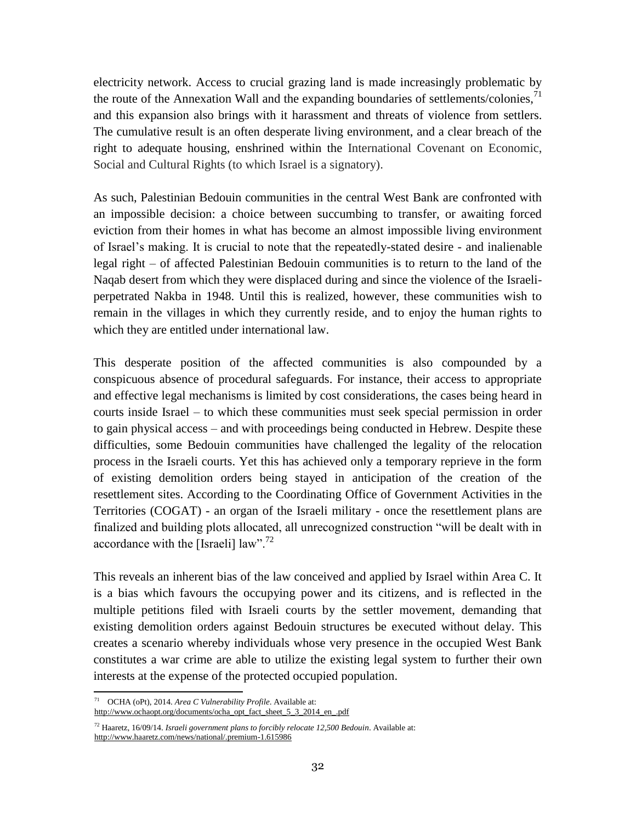electricity network. Access to crucial grazing land is made increasingly problematic by the route of the Annexation Wall and the expanding boundaries of settlements/colonies, $^{71}$ and this expansion also brings with it harassment and threats of violence from settlers. The cumulative result is an often desperate living environment, and a clear breach of the right to adequate housing, enshrined within the International Covenant on Economic, Social and Cultural Rights (to which Israel is a signatory).

As such, Palestinian Bedouin communities in the central West Bank are confronted with an impossible decision: a choice between succumbing to transfer, or awaiting forced eviction from their homes in what has become an almost impossible living environment of Israel's making. It is crucial to note that the repeatedly-stated desire - and inalienable legal right – of affected Palestinian Bedouin communities is to return to the land of the Naqab desert from which they were displaced during and since the violence of the Israeliperpetrated Nakba in 1948. Until this is realized, however, these communities wish to remain in the villages in which they currently reside, and to enjoy the human rights to which they are entitled under international law.

This desperate position of the affected communities is also compounded by a conspicuous absence of procedural safeguards. For instance, their access to appropriate and effective legal mechanisms is limited by cost considerations, the cases being heard in courts inside Israel – to which these communities must seek special permission in order to gain physical access – and with proceedings being conducted in Hebrew. Despite these difficulties, some Bedouin communities have challenged the legality of the relocation process in the Israeli courts. Yet this has achieved only a temporary reprieve in the form of existing demolition orders being stayed in anticipation of the creation of the resettlement sites. According to the Coordinating Office of Government Activities in the Territories (COGAT) - an organ of the Israeli military - once the resettlement plans are finalized and building plots allocated, all unrecognized construction "will be dealt with in accordance with the [Israeli] law".<sup>72</sup>

This reveals an inherent bias of the law conceived and applied by Israel within Area C. It is a bias which favours the occupying power and its citizens, and is reflected in the multiple petitions filed with Israeli courts by the settler movement, demanding that existing demolition orders against Bedouin structures be executed without delay. This creates a scenario whereby individuals whose very presence in the occupied West Bank constitutes a war crime are able to utilize the existing legal system to further their own interests at the expense of the protected occupied population.

 $\overline{a}$ 

<sup>71</sup> OCHA (oPt), 2014. *Area C Vulnerability Profile*. Available at: [http://www.ochaopt.org/documents/ocha\\_opt\\_fact\\_sheet\\_5\\_3\\_2014\\_en\\_.pdf](http://www.ochaopt.org/documents/ocha_opt_fact_sheet_5_3_2014_en_.pdf)

<sup>72</sup> Haaretz, 16/09/14. *Israeli government plans to forcibly relocate 12,500 Bedouin*. Available at: <http://www.haaretz.com/news/national/.premium-1.615986>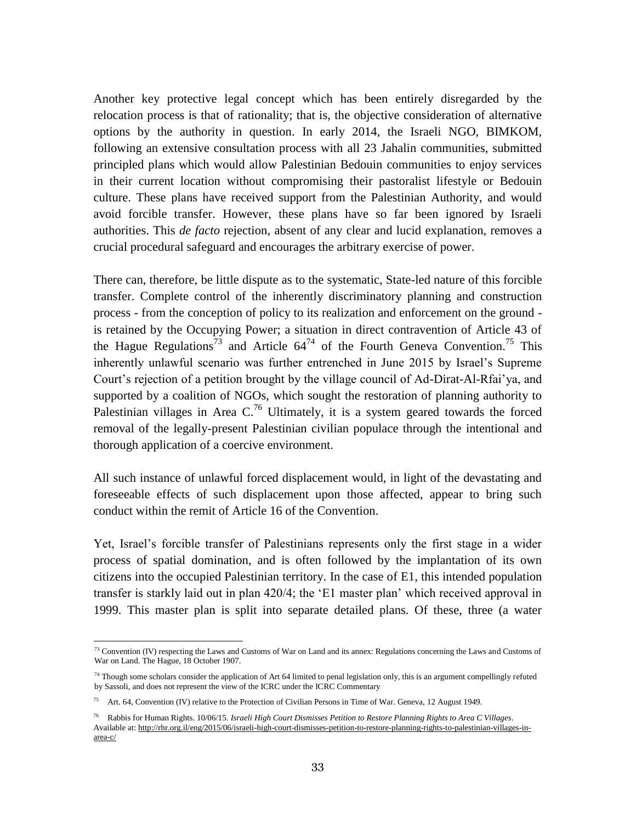Another key protective legal concept which has been entirely disregarded by the relocation process is that of rationality; that is, the objective consideration of alternative options by the authority in question. In early 2014, the Israeli NGO, BIMKOM, following an extensive consultation process with all 23 Jahalin communities, submitted principled plans which would allow Palestinian Bedouin communities to enjoy services in their current location without compromising their pastoralist lifestyle or Bedouin culture. These plans have received support from the Palestinian Authority, and would avoid forcible transfer. However, these plans have so far been ignored by Israeli authorities. This *de facto* rejection, absent of any clear and lucid explanation, removes a crucial procedural safeguard and encourages the arbitrary exercise of power.

There can, therefore, be little dispute as to the systematic, State-led nature of this forcible transfer. Complete control of the inherently discriminatory planning and construction process - from the conception of policy to its realization and enforcement on the ground is retained by the Occupying Power; a situation in direct contravention of Article 43 of the Hague Regulations<sup>73</sup> and Article  $64^{74}$  of the Fourth Geneva Convention.<sup>75</sup> This inherently unlawful scenario was further entrenched in June 2015 by Israel's Supreme Court's rejection of a petition brought by the village council of Ad-Dirat-Al-Rfai'ya, and supported by a coalition of NGOs, which sought the restoration of planning authority to Palestinian villages in Area  $C<sup>76</sup>$  Ultimately, it is a system geared towards the forced removal of the legally-present Palestinian civilian populace through the intentional and thorough application of a coercive environment.

All such instance of unlawful forced displacement would, in light of the devastating and foreseeable effects of such displacement upon those affected, appear to bring such conduct within the remit of Article 16 of the Convention.

Yet, Israel's forcible transfer of Palestinians represents only the first stage in a wider process of spatial domination, and is often followed by the implantation of its own citizens into the occupied Palestinian territory. In the case of E1, this intended population transfer is starkly laid out in plan 420/4; the 'E1 master plan' which received approval in 1999. This master plan is split into separate detailed plans. Of these, three (a water

 $\overline{a}$ 

 $73$  Convention (IV) respecting the Laws and Customs of War on Land and its annex: Regulations concerning the Laws and Customs of War on Land. The Hague, 18 October 1907.

 $74$  Though some scholars consider the application of Art 64 limited to penal legislation only, this is an argument compellingly refuted by Sassoli, and does not represent the view of the ICRC under the ICRC Commentary

<sup>75</sup> Art. 64, Convention (IV) relative to the Protection of Civilian Persons in Time of War. Geneva, 12 August 1949.

<sup>76</sup> Rabbis for Human Rights. 10/06/15. *Israeli High Court Dismisses Petition to Restore Planning Rights to Area C Villages*. Available at[: http://rhr.org.il/eng/2015/06/israeli-high-court-dismisses-petition-to-restore-planning-rights-to-palestinian-villages-in](http://rhr.org.il/eng/2015/06/israeli-high-court-dismisses-petition-to-restore-planning-rights-to-palestinian-villages-in-area-c/)[area-c/](http://rhr.org.il/eng/2015/06/israeli-high-court-dismisses-petition-to-restore-planning-rights-to-palestinian-villages-in-area-c/)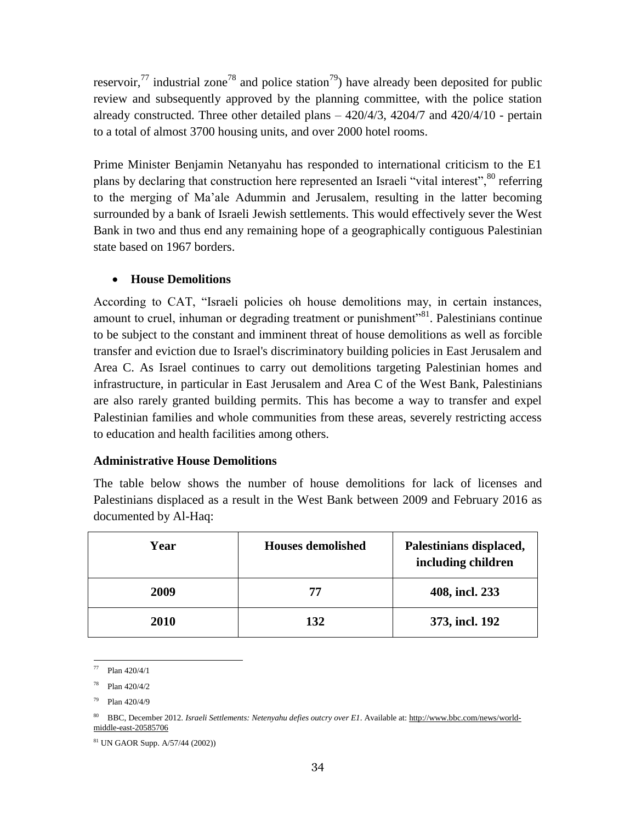reservoir,<sup>77</sup> industrial zone<sup>78</sup> and police station<sup>79</sup>) have already been deposited for public review and subsequently approved by the planning committee, with the police station already constructed. Three other detailed plans  $-420/4/3$ ,  $4204/7$  and  $420/4/10$  - pertain to a total of almost 3700 housing units, and over 2000 hotel rooms.

Prime Minister Benjamin Netanyahu has responded to international criticism to the E1 plans by declaring that construction here represented an Israeli "vital interest",  $80$  referring to the merging of Ma'ale Adummin and Jerusalem, resulting in the latter becoming surrounded by a bank of Israeli Jewish settlements. This would effectively sever the West Bank in two and thus end any remaining hope of a geographically contiguous Palestinian state based on 1967 borders.

# <span id="page-33-0"></span>**House Demolitions**

According to CAT, "Israeli policies oh house demolitions may, in certain instances, amount to cruel, inhuman or degrading treatment or punishment"<sup>81</sup>. Palestinians continue to be subject to the constant and imminent threat of house demolitions as well as forcible transfer and eviction due to Israel's discriminatory building policies in East Jerusalem and Area C. As Israel continues to carry out demolitions targeting Palestinian homes and infrastructure, in particular in East Jerusalem and Area C of the West Bank, Palestinians are also rarely granted building permits. This has become a way to transfer and expel Palestinian families and whole communities from these areas, severely restricting access to education and health facilities among others.

# <span id="page-33-1"></span>**Administrative House Demolitions**

The table below shows the number of house demolitions for lack of licenses and Palestinians displaced as a result in the West Bank between 2009 and February 2016 as documented by Al-Haq:

| Year | <b>Houses demolished</b> | Palestinians displaced,<br>including children |
|------|--------------------------|-----------------------------------------------|
| 2009 | 77                       | 408, incl. 233                                |
| 2010 | 132                      | 373, incl. 192                                |

 $77$ Plan 420/4/1

Plan 420/4/2

Plan 420/4/9

<sup>80</sup> BBC, December 2012. *Israeli Settlements: Netenyahu defies outcry over E1*. Available at[: http://www.bbc.com/news/world](http://www.bbc.com/news/world-middle-east-20585706)[middle-east-20585706](http://www.bbc.com/news/world-middle-east-20585706) 

<sup>81</sup> UN GAOR Supp. A/57/44 (2002))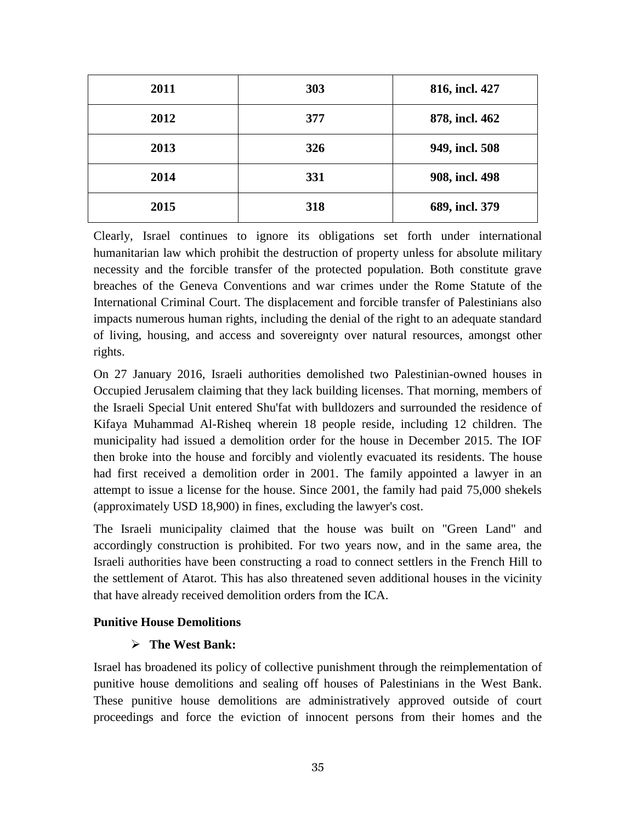| 2011 | 303 | 816, incl. 427 |
|------|-----|----------------|
| 2012 | 377 | 878, incl. 462 |
| 2013 | 326 | 949, incl. 508 |
| 2014 | 331 | 908, incl. 498 |
| 2015 | 318 | 689, incl. 379 |

Clearly, Israel continues to ignore its obligations set forth under international humanitarian law which prohibit the destruction of property unless for absolute military necessity and the forcible transfer of the protected population. Both constitute grave breaches of the Geneva Conventions and war crimes under the Rome Statute of the International Criminal Court. The displacement and forcible transfer of Palestinians also impacts numerous human rights, including the denial of the right to an adequate standard of living, housing, and access and sovereignty over natural resources, amongst other rights.

On 27 January 2016, Israeli authorities demolished two Palestinian-owned houses in Occupied Jerusalem claiming that they lack building licenses. That morning, members of the Israeli Special Unit entered Shu'fat with bulldozers and surrounded the residence of Kifaya Muhammad Al-Risheq wherein 18 people reside, including 12 children. The municipality had issued a demolition order for the house in December 2015. The IOF then broke into the house and forcibly and violently evacuated its residents. The house had first received a demolition order in 2001. The family appointed a lawyer in an attempt to issue a license for the house. Since 2001, the family had paid 75,000 shekels (approximately USD 18,900) in fines, excluding the lawyer's cost.

The Israeli municipality claimed that the house was built on "Green Land" and accordingly construction is prohibited. For two years now, and in the same area, the Israeli authorities have been constructing a road to connect settlers in the French Hill to the settlement of Atarot. This has also threatened seven additional houses in the vicinity that have already received demolition orders from the ICA.

### <span id="page-34-0"></span>**Punitive House Demolitions**

### **The West Bank:**

Israel has broadened its policy of collective punishment through the reimplementation of punitive house demolitions and sealing off houses of Palestinians in the West Bank. These punitive house demolitions are administratively approved outside of court proceedings and force the eviction of innocent persons from their homes and the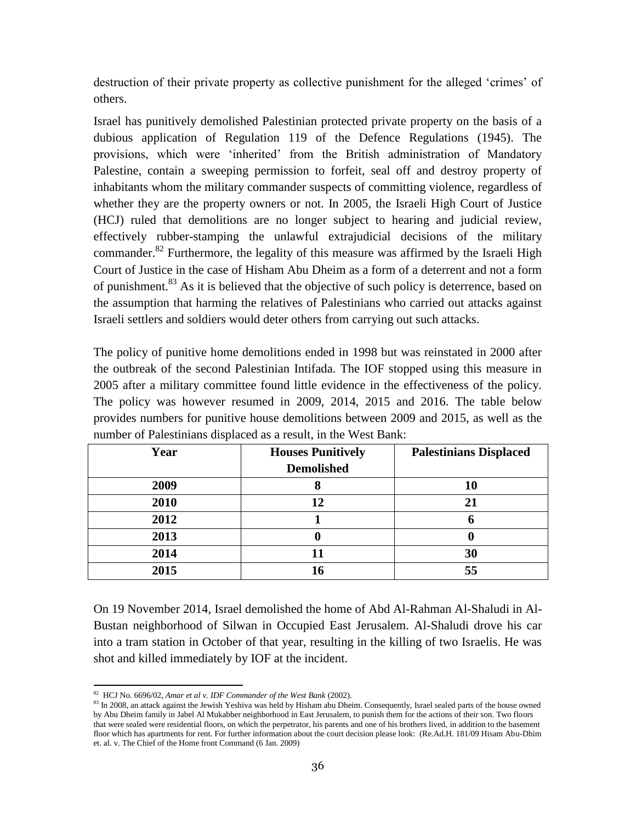destruction of their private property as collective punishment for the alleged 'crimes' of others.

Israel has punitively demolished Palestinian protected private property on the basis of a dubious application of Regulation 119 of the Defence Regulations (1945). The provisions, which were 'inherited' from the British administration of Mandatory Palestine, contain a sweeping permission to forfeit, seal off and destroy property of inhabitants whom the military commander suspects of committing violence, regardless of whether they are the property owners or not. In 2005, the Israeli High Court of Justice (HCJ) ruled that demolitions are no longer subject to hearing and judicial review, effectively rubber-stamping the unlawful extrajudicial decisions of the military commander.<sup>82</sup> Furthermore, the legality of this measure was affirmed by the Israeli High Court of Justice in the case of Hisham Abu Dheim as a form of a deterrent and not a form of punishment.<sup>83</sup> As it is believed that the objective of such policy is deterrence, based on the assumption that harming the relatives of Palestinians who carried out attacks against Israeli settlers and soldiers would deter others from carrying out such attacks.

The policy of punitive home demolitions ended in 1998 but was reinstated in 2000 after the outbreak of the second Palestinian Intifada. The IOF stopped using this measure in 2005 after a military committee found little evidence in the effectiveness of the policy. The policy was however resumed in 2009, 2014, 2015 and 2016. The table below provides numbers for punitive house demolitions between 2009 and 2015, as well as the number of Palestinians displaced as a result, in the West Bank:

| Year | <b>Houses Punitively</b> | <b>Palestinians Displaced</b> |
|------|--------------------------|-------------------------------|
|      | <b>Demolished</b>        |                               |
| 2009 |                          | 10                            |
| 2010 | 12                       | 21                            |
| 2012 |                          |                               |
| 2013 | ı                        |                               |
| 2014 |                          | 30                            |
| 2015 |                          | 55                            |

On 19 November 2014, Israel demolished the home of Abd Al-Rahman Al-Shaludi in Al-Bustan neighborhood of Silwan in Occupied East Jerusalem. Al-Shaludi drove his car into a tram station in October of that year, resulting in the killing of two Israelis. He was shot and killed immediately by IOF at the incident.

 $\overline{a}$ <sup>82</sup> HCJ No. 6696/02, *Amar et al v. IDF Commander of the West Bank* (2002).

<sup>83</sup> In 2008, an attack against the Jewish Yeshiva was held by Hisham abu Dheim. Consequently, Israel sealed parts of the house owned by Abu Dheim family in Jabel Al Mukabber neighborhood in East Jerusalem, to punish them for the actions of their son. Two floors that were sealed were residential floors, on which the perpetrator, his parents and one of his brothers lived, in addition to the basement floor which has apartments for rent. For further information about the court decision please look: (Re.Ad.H. 181/09 Hisam Abu-Dhim et. al. v. The Chief of the Home front Command (6 Jan. 2009)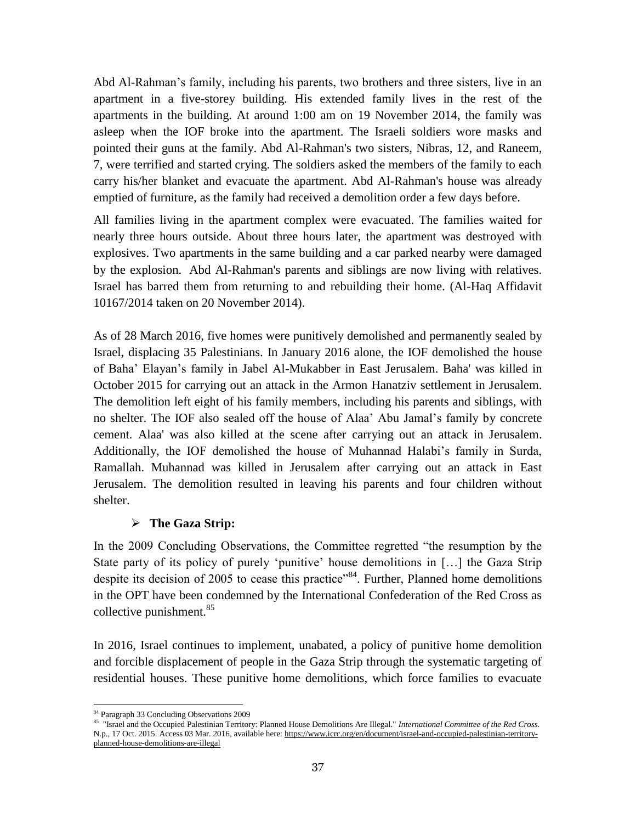Abd Al-Rahman's family, including his parents, two brothers and three sisters, live in an apartment in a five-storey building. His extended family lives in the rest of the apartments in the building. At around 1:00 am on 19 November 2014, the family was asleep when the IOF broke into the apartment. The Israeli soldiers wore masks and pointed their guns at the family. Abd Al-Rahman's two sisters, Nibras, 12, and Raneem, 7, were terrified and started crying. The soldiers asked the members of the family to each carry his/her blanket and evacuate the apartment. Abd Al-Rahman's house was already emptied of furniture, as the family had received a demolition order a few days before.

All families living in the apartment complex were evacuated. The families waited for nearly three hours outside. About three hours later, the apartment was destroyed with explosives. Two apartments in the same building and a car parked nearby were damaged by the explosion. Abd Al-Rahman's parents and siblings are now living with relatives. Israel has barred them from returning to and rebuilding their home. (Al-Haq Affidavit 10167/2014 taken on 20 November 2014).

As of 28 March 2016, five homes were punitively demolished and permanently sealed by Israel, displacing 35 Palestinians. In January 2016 alone, the IOF demolished the house of Baha' Elayan's family in Jabel Al-Mukabber in East Jerusalem. Baha' was killed in October 2015 for carrying out an attack in the Armon Hanatziv settlement in Jerusalem. The demolition left eight of his family members, including his parents and siblings, with no shelter. The IOF also sealed off the house of Alaa' Abu Jamal's family by concrete cement. Alaa' was also killed at the scene after carrying out an attack in Jerusalem. Additionally, the IOF demolished the house of Muhannad Halabi's family in Surda, Ramallah. Muhannad was killed in Jerusalem after carrying out an attack in East Jerusalem. The demolition resulted in leaving his parents and four children without shelter.

# **The Gaza Strip:**

In the 2009 Concluding Observations, the Committee regretted "the resumption by the State party of its policy of purely 'punitive' house demolitions in […] the Gaza Strip despite its decision of 2005 to cease this practice<sup> $34$ </sup>. Further, Planned home demolitions in the OPT have been condemned by the International Confederation of the Red Cross as collective punishment.<sup>85</sup>

In 2016, Israel continues to implement, unabated, a policy of punitive home demolition and forcible displacement of people in the Gaza Strip through the systematic targeting of residential houses. These punitive home demolitions, which force families to evacuate

 $\overline{a}$ <sup>84</sup> Paragraph 33 Concluding Observations 2009

<sup>85</sup> "Israel and the Occupied Palestinian Territory: Planned House Demolitions Are Illegal." *International Committee of the Red Cross.* N.p., 17 Oct. 2015. Access 03 Mar. 2016, available here: [https://www.icrc.org/en/document/israel-and-occupied-palestinian-territory](https://www.icrc.org/en/document/israel-and-occupied-palestinian-territory-planned-house-demolitions-are-illegal)[planned-house-demolitions-are-illegal](https://www.icrc.org/en/document/israel-and-occupied-palestinian-territory-planned-house-demolitions-are-illegal)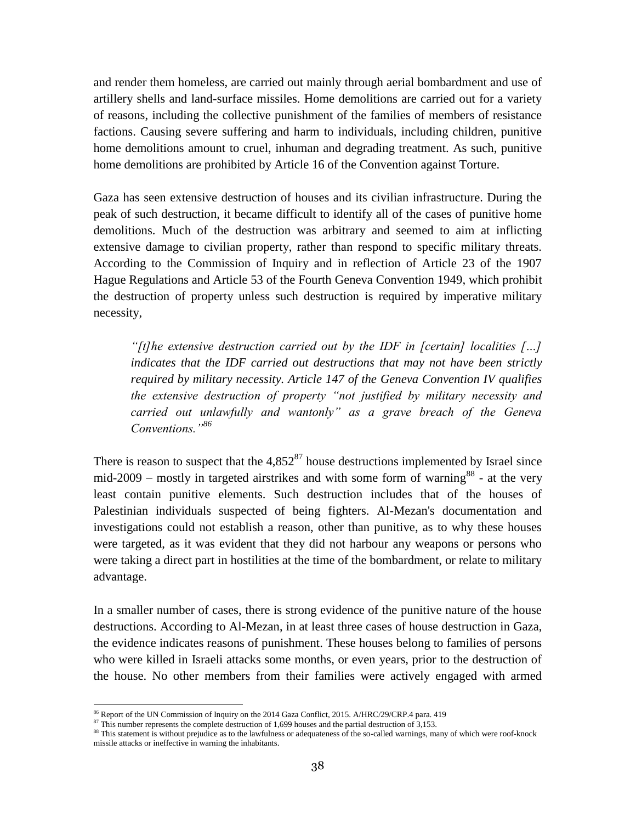and render them homeless, are carried out mainly through aerial bombardment and use of artillery shells and land-surface missiles. Home demolitions are carried out for a variety of reasons, including the collective punishment of the families of members of resistance factions. Causing severe suffering and harm to individuals, including children, punitive home demolitions amount to cruel, inhuman and degrading treatment. As such, punitive home demolitions are prohibited by Article 16 of the Convention against Torture.

Gaza has seen extensive destruction of houses and its civilian infrastructure. During the peak of such destruction, it became difficult to identify all of the cases of punitive home demolitions. Much of the destruction was arbitrary and seemed to aim at inflicting extensive damage to civilian property, rather than respond to specific military threats. According to the Commission of Inquiry and in reflection of Article 23 of the 1907 Hague Regulations and Article 53 of the Fourth Geneva Convention 1949, which prohibit the destruction of property unless such destruction is required by imperative military necessity,

*"[t]he extensive destruction carried out by the IDF in [certain] localities […] indicates that the IDF carried out destructions that may not have been strictly required by military necessity. Article 147 of the Geneva Convention IV qualifies the extensive destruction of property "not justified by military necessity and carried out unlawfully and wantonly" as a grave breach of the Geneva Conventions."<sup>86</sup>*

There is reason to suspect that the  $4,852^{87}$  house destructions implemented by Israel since mid-2009 – mostly in targeted airstrikes and with some form of warning  $88$  - at the very least contain punitive elements. Such destruction includes that of the houses of Palestinian individuals suspected of being fighters. Al-Mezan's documentation and investigations could not establish a reason, other than punitive, as to why these houses were targeted, as it was evident that they did not harbour any weapons or persons who were taking a direct part in hostilities at the time of the bombardment, or relate to military advantage.

In a smaller number of cases, there is strong evidence of the punitive nature of the house destructions. According to Al-Mezan, in at least three cases of house destruction in Gaza, the evidence indicates reasons of punishment. These houses belong to families of persons who were killed in Israeli attacks some months, or even years, prior to the destruction of the house. No other members from their families were actively engaged with armed

 $\overline{a}$ 

<sup>&</sup>lt;sup>86</sup> Report of the UN Commission of Inquiry on the 2014 Gaza Conflict, 2015. A/HRC/29/CRP.4 para. 419

<sup>&</sup>lt;sup>87</sup> This number represents the complete destruction of 1,699 houses and the partial destruction of 3,153.

<sup>88</sup> This statement is without prejudice as to the lawfulness or adequateness of the so-called warnings, many of which were roof-knock missile attacks or ineffective in warning the inhabitants.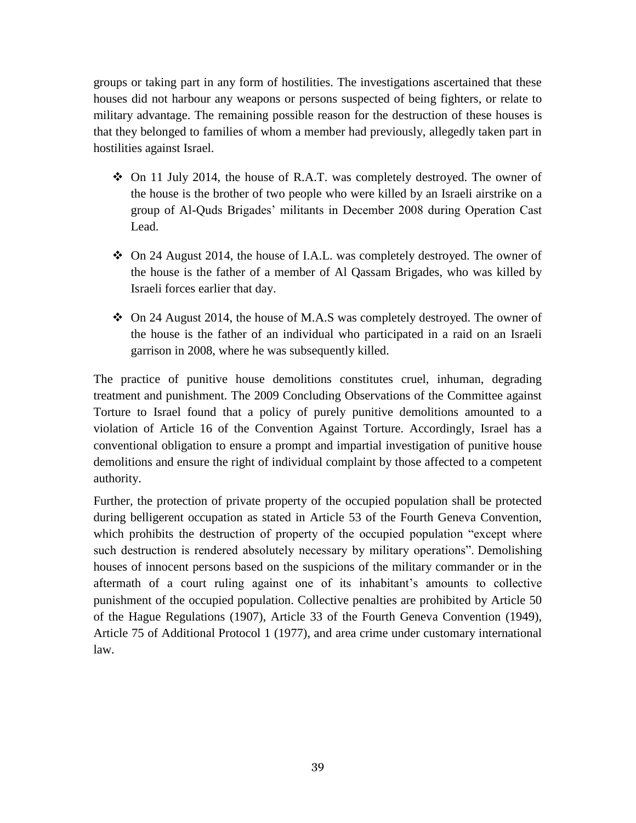groups or taking part in any form of hostilities. The investigations ascertained that these houses did not harbour any weapons or persons suspected of being fighters, or relate to military advantage. The remaining possible reason for the destruction of these houses is that they belonged to families of whom a member had previously, allegedly taken part in hostilities against Israel.

- $\div$  On 11 July 2014, the house of R.A.T. was completely destroyed. The owner of the house is the brother of two people who were killed by an Israeli airstrike on a group of Al-Quds Brigades' militants in December 2008 during Operation Cast Lead.
- On 24 August 2014, the house of I.A.L. was completely destroyed. The owner of the house is the father of a member of Al Qassam Brigades, who was killed by Israeli forces earlier that day.
- On 24 August 2014, the house of M.A.S was completely destroyed. The owner of the house is the father of an individual who participated in a raid on an Israeli garrison in 2008, where he was subsequently killed.

The practice of punitive house demolitions constitutes cruel, inhuman, degrading treatment and punishment. The 2009 Concluding Observations of the Committee against Torture to Israel found that a policy of purely punitive demolitions amounted to a violation of Article 16 of the Convention Against Torture. Accordingly, Israel has a conventional obligation to ensure a prompt and impartial investigation of punitive house demolitions and ensure the right of individual complaint by those affected to a competent authority.

Further, the protection of private property of the occupied population shall be protected during belligerent occupation as stated in Article 53 of the Fourth Geneva Convention, which prohibits the destruction of property of the occupied population "except where such destruction is rendered absolutely necessary by military operations". Demolishing houses of innocent persons based on the suspicions of the military commander or in the aftermath of a court ruling against one of its inhabitant's amounts to collective punishment of the occupied population. Collective penalties are prohibited by Article 50 of the Hague Regulations (1907), Article 33 of the Fourth Geneva Convention (1949), Article 75 of Additional Protocol 1 (1977), and area crime under customary international law.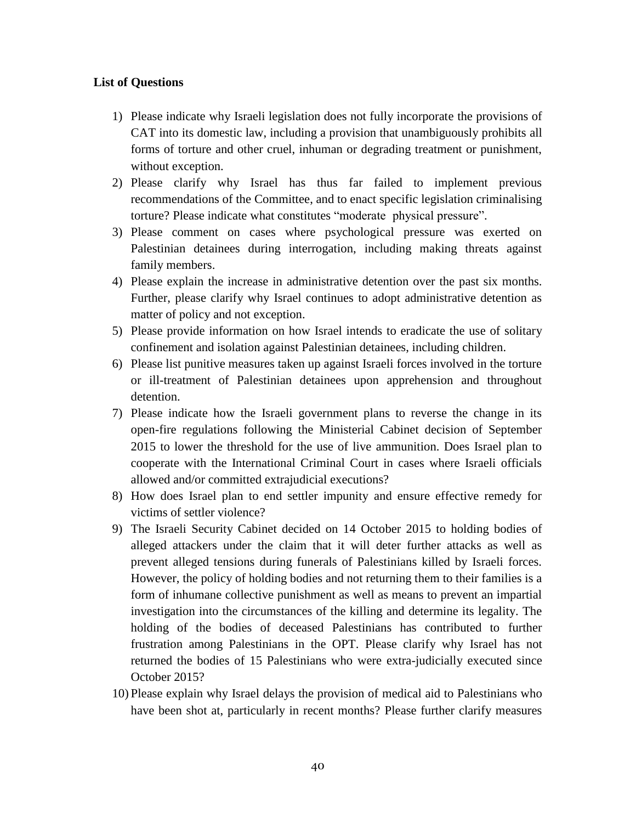## <span id="page-39-0"></span>**List of Questions**

- 1) Please indicate why Israeli legislation does not fully incorporate the provisions of CAT into its domestic law, including a provision that unambiguously prohibits all forms of torture and other cruel, inhuman or degrading treatment or punishment, without exception.
- 2) Please clarify why Israel has thus far failed to implement previous recommendations of the Committee, and to enact specific legislation criminalising torture? Please indicate what constitutes "moderate physical pressure".
- 3) Please comment on cases where psychological pressure was exerted on Palestinian detainees during interrogation, including making threats against family members.
- 4) Please explain the increase in administrative detention over the past six months. Further, please clarify why Israel continues to adopt administrative detention as matter of policy and not exception.
- 5) Please provide information on how Israel intends to eradicate the use of solitary confinement and isolation against Palestinian detainees, including children.
- 6) Please list punitive measures taken up against Israeli forces involved in the torture or ill-treatment of Palestinian detainees upon apprehension and throughout detention.
- 7) Please indicate how the Israeli government plans to reverse the change in its open-fire regulations following the Ministerial Cabinet decision of September 2015 to lower the threshold for the use of live ammunition. Does Israel plan to cooperate with the International Criminal Court in cases where Israeli officials allowed and/or committed extrajudicial executions?
- 8) How does Israel plan to end settler impunity and ensure effective remedy for victims of settler violence?
- 9) The Israeli Security Cabinet decided on 14 October 2015 to holding bodies of alleged attackers under the claim that it will deter further attacks as well as prevent alleged tensions during funerals of Palestinians killed by Israeli forces. However, the policy of holding bodies and not returning them to their families is a form of inhumane collective punishment as well as means to prevent an impartial investigation into the circumstances of the killing and determine its legality. The holding of the bodies of deceased Palestinians has contributed to further frustration among Palestinians in the OPT. Please clarify why Israel has not returned the bodies of 15 Palestinians who were extra-judicially executed since October 2015?
- 10) Please explain why Israel delays the provision of medical aid to Palestinians who have been shot at, particularly in recent months? Please further clarify measures